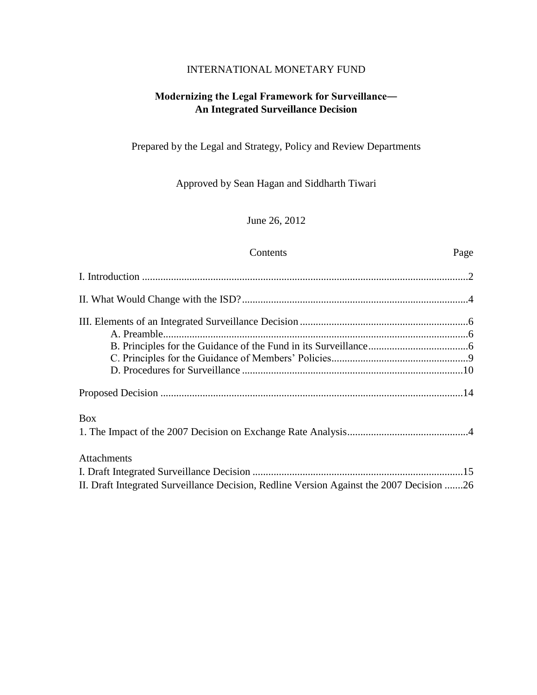#### INTERNATIONAL MONETARY FUND

## **Modernizing the Legal Framework for Surveillance― An Integrated Surveillance Decision**

Prepared by the Legal and Strategy, Policy and Review Departments

Approved by Sean Hagan and Siddharth Tiwari

June 26, 2012

#### Contents Page

| <b>Box</b>                                                                               |  |
|------------------------------------------------------------------------------------------|--|
|                                                                                          |  |
| Attachments                                                                              |  |
|                                                                                          |  |
| II. Draft Integrated Surveillance Decision, Redline Version Against the 2007 Decision 26 |  |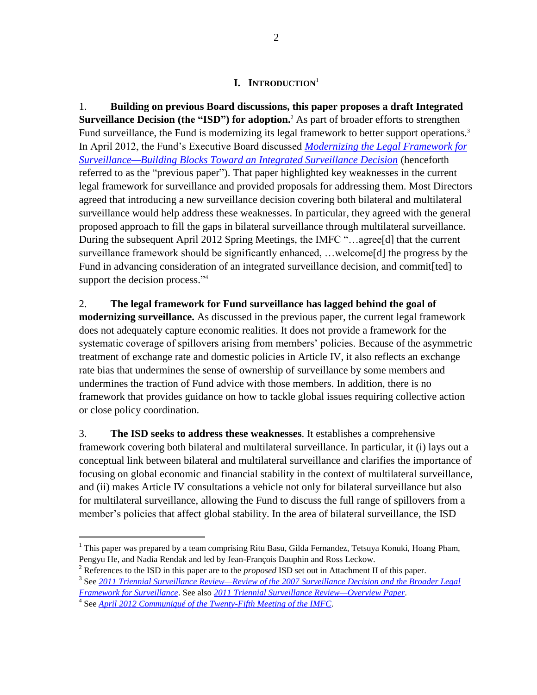## **I. INTRODUCTION**<sup>1</sup>

1. **Building on previous Board discussions, this paper proposes a draft Integrated Surveillance Decision (the "ISD") for adoption.**<sup>2</sup> As part of broader efforts to strengthen Fund surveillance, the Fund is modernizing its legal framework to better support operations.<sup>3</sup> In April 2012, the Fund's Executive Board discussed *[Modernizing the Legal Framework for](http://www.imf.org/external/np/pp/eng/2012/031612A.pdf)  [Surveillance—Building Blocks Toward an Integrated Surveillance Decision](http://www.imf.org/external/np/pp/eng/2012/031612A.pdf)* (henceforth referred to as the "previous paper"). That paper highlighted key weaknesses in the current legal framework for surveillance and provided proposals for addressing them. Most Directors agreed that introducing a new surveillance decision covering both bilateral and multilateral surveillance would help address these weaknesses. In particular, they agreed with the general proposed approach to fill the gaps in bilateral surveillance through multilateral surveillance. During the subsequent April 2012 Spring Meetings, the IMFC "...agree<sup>[d]</sup> that the current surveillance framework should be significantly enhanced, …welcome[d] the progress by the Fund in advancing consideration of an integrated surveillance decision, and commit [ted] to support the decision process."<sup>4</sup>

2. **The legal framework for Fund surveillance has lagged behind the goal of modernizing surveillance.** As discussed in the previous paper, the current legal framework does not adequately capture economic realities. It does not provide a framework for the systematic coverage of spillovers arising from members' policies. Because of the asymmetric treatment of exchange rate and domestic policies in Article IV, it also reflects an exchange rate bias that undermines the sense of ownership of surveillance by some members and undermines the traction of Fund advice with those members. In addition, there is no framework that provides guidance on how to tackle global issues requiring collective action or close policy coordination.

3. **The ISD seeks to address these weaknesses**. It establishes a comprehensive framework covering both bilateral and multilateral surveillance. In particular, it (i) lays out a conceptual link between bilateral and multilateral surveillance and clarifies the importance of focusing on global economic and financial stability in the context of multilateral surveillance, and (ii) makes Article IV consultations a vehicle not only for bilateral surveillance but also for multilateral surveillance, allowing the Fund to discuss the full range of spillovers from a member's policies that affect global stability. In the area of bilateral surveillance, the ISD

 $\overline{a}$ 

 $1$  This paper was prepared by a team comprising Ritu Basu, Gilda Fernandez, Tetsuya Konuki, Hoang Pham, Pengyu He, and Nadia Rendak and led by Jean-François Dauphin and Ross Leckow.

<sup>2</sup> References to the ISD in this paper are to the *proposed* ISD set out in Attachment II of this paper.

<sup>&</sup>lt;sup>3</sup> See 2011 Triennial Surveillance Review—Review of the 2007 Surveillance Decision and the Broader Legal *[Framework for Surveillance](https://www.imf.org/external/np/pp/eng/2011/082611.pdf)*. See also *[2011 Triennial Surveillance Review—Overview Paper](https://www.imf.org/external/np/pp/eng/2011/082911.pdf)*.

<sup>4</sup> See *April 2012 [Communiqué of the Twenty-Fifth Meeting of the IMFC](http://www.imf.org/external/np/cm/2012/042112.htm)*.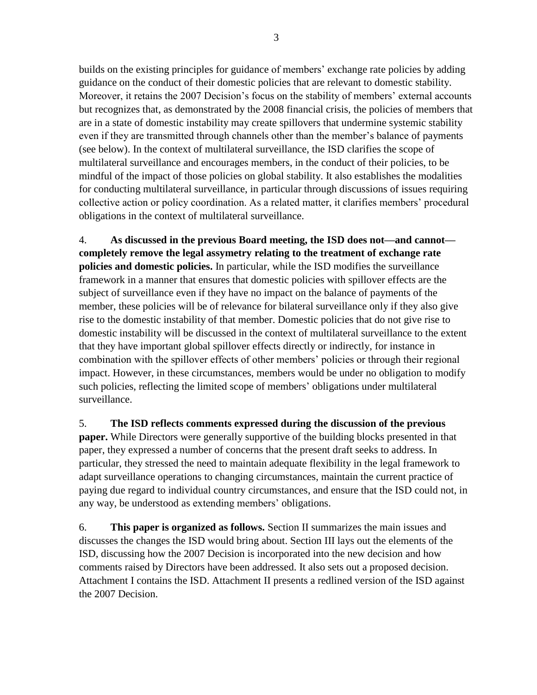builds on the existing principles for guidance of members' exchange rate policies by adding guidance on the conduct of their domestic policies that are relevant to domestic stability. Moreover, it retains the 2007 Decision's focus on the stability of members' external accounts but recognizes that, as demonstrated by the 2008 financial crisis, the policies of members that are in a state of domestic instability may create spillovers that undermine systemic stability even if they are transmitted through channels other than the member's balance of payments (see below). In the context of multilateral surveillance, the ISD clarifies the scope of multilateral surveillance and encourages members, in the conduct of their policies, to be mindful of the impact of those policies on global stability. It also establishes the modalities for conducting multilateral surveillance, in particular through discussions of issues requiring collective action or policy coordination. As a related matter, it clarifies members' procedural obligations in the context of multilateral surveillance.

4. **As discussed in the previous Board meeting, the ISD does not—and cannot completely remove the legal assymetry relating to the treatment of exchange rate policies and domestic policies.** In particular, while the ISD modifies the surveillance framework in a manner that ensures that domestic policies with spillover effects are the subject of surveillance even if they have no impact on the balance of payments of the member, these policies will be of relevance for bilateral surveillance only if they also give rise to the domestic instability of that member. Domestic policies that do not give rise to domestic instability will be discussed in the context of multilateral surveillance to the extent that they have important global spillover effects directly or indirectly, for instance in combination with the spillover effects of other members' policies or through their regional impact. However, in these circumstances, members would be under no obligation to modify such policies, reflecting the limited scope of members' obligations under multilateral surveillance.

5. **The ISD reflects comments expressed during the discussion of the previous paper.** While Directors were generally supportive of the building blocks presented in that paper, they expressed a number of concerns that the present draft seeks to address. In particular, they stressed the need to maintain adequate flexibility in the legal framework to adapt surveillance operations to changing circumstances, maintain the current practice of paying due regard to individual country circumstances, and ensure that the ISD could not, in any way, be understood as extending members' obligations.

6. **This paper is organized as follows.** Section II summarizes the main issues and discusses the changes the ISD would bring about. Section III lays out the elements of the ISD, discussing how the 2007 Decision is incorporated into the new decision and how comments raised by Directors have been addressed. It also sets out a proposed decision. Attachment I contains the ISD. Attachment II presents a redlined version of the ISD against the 2007 Decision.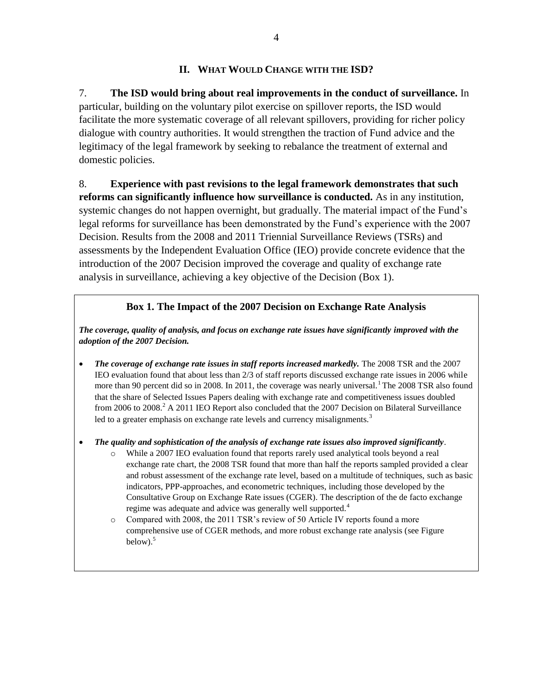## **II. WHAT WOULD CHANGE WITH THE ISD?**

7. **The ISD would bring about real improvements in the conduct of surveillance.** In particular, building on the voluntary pilot exercise on spillover reports, the ISD would facilitate the more systematic coverage of all relevant spillovers, providing for richer policy dialogue with country authorities. It would strengthen the traction of Fund advice and the legitimacy of the legal framework by seeking to rebalance the treatment of external and domestic policies.

8. **Experience with past revisions to the legal framework demonstrates that such reforms can significantly influence how surveillance is conducted.** As in any institution, systemic changes do not happen overnight, but gradually. The material impact of the Fund's legal reforms for surveillance has been demonstrated by the Fund's experience with the 2007 Decision. Results from the 2008 and 2011 Triennial Surveillance Reviews (TSRs) and assessments by the Independent Evaluation Office (IEO) provide concrete evidence that the introduction of the 2007 Decision improved the coverage and quality of exchange rate analysis in surveillance, achieving a key objective of the Decision (Box 1).

## **Box 1. The Impact of the 2007 Decision on Exchange Rate Analysis**

*The coverage, quality of analysis, and focus on exchange rate issues have significantly improved with the adoption of the 2007 Decision.*

- The coverage of exchange rate issues in staff reports increased markedly. The 2008 TSR and the 2007 IEO evaluation found that about less than 2/3 of staff reports discussed exchange rate issues in 2006 while more than 90 percent did so in 2008. In 2011, the coverage was nearly universal.<sup>1</sup> The 2008 TSR also found that the share of Selected Issues Papers dealing with exchange rate and competitiveness issues doubled from 2006 to  $2008<sup>2</sup>$  A 2011 IEO Report also concluded that the 2007 Decision on Bilateral Surveillance led to a greater emphasis on exchange rate levels and currency misalignments.<sup>3</sup>
- *The quality and sophistication of the analysis of exchange rate issues also improved significantly.*
	- o While a 2007 IEO evaluation found that reports rarely used analytical tools beyond a real exchange rate chart, the 2008 TSR found that more than half the reports sampled provided a clear and robust assessment of the exchange rate level, based on a multitude of techniques, such as basic indicators, PPP-approaches, and econometric techniques, including those developed by the Consultative Group on Exchange Rate issues (CGER). The description of the de facto exchange regime was adequate and advice was generally well supported.<sup>4</sup>
	- o Compared with 2008, the 2011 TSR's review of 50 Article IV reports found a more comprehensive use of CGER methods, and more robust exchange rate analysis (see Figure below). $5$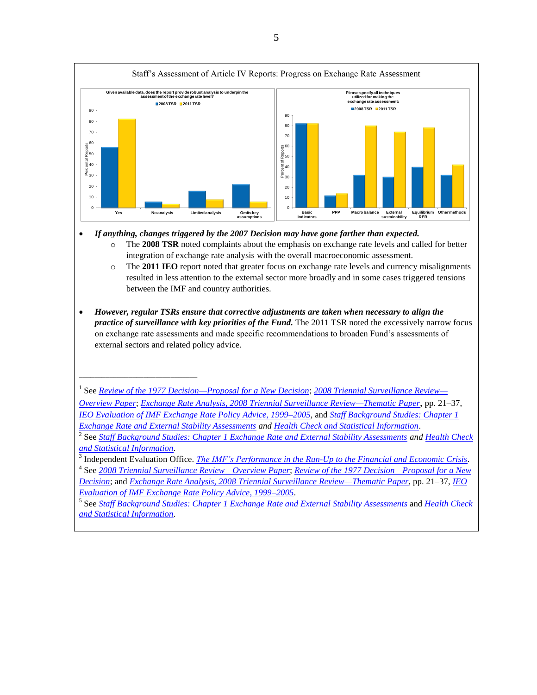

*If anything, changes triggered by the 2007 Decision may have gone farther than expected.*

- o The **2008 TSR** noted complaints about the emphasis on exchange rate levels and called for better integration of exchange rate analysis with the overall macroeconomic assessment.
- o The **2011 IEO** report noted that greater focus on exchange rate levels and currency misalignments resulted in less attention to the external sector more broadly and in some cases triggered tensions between the IMF and country authorities.
- *However, regular TSRs ensure that corrective adjustments are taken when necessary to align the practice of surveillance with key priorities of the Fund.* The 2011 TSR noted the excessively narrow focus on exchange rate assessments and made specific recommendations to broaden Fund's assessments of external sectors and related policy advice.

3 Independent Evaluation Office. *[The IMF's Performance in the Run-Up to the Financial and Economic Crisis](http://www.ieo-imf.org/ieo/pages/IEOPreview.aspx?img=i6nZpr3iSlU%3d&mappingid=dRx2VaDG7EY%3d)*. 4 See *[2008 Triennial Surveillance Review—Overview Paper](http://www.imf.org/external/np/pp/eng/2008/090208a.pdf)*; *[Review of the 1977 Decision—Proposal for a New](http://www.imf.org/external/np/pp/2007/eng/nd.pdf)  [Decision](http://www.imf.org/external/np/pp/2007/eng/nd.pdf)*; and *[Exchange Rate Analysis, 2008 Triennial Surveillance Review—Thematic Paper](http://www.imf.org/external/np/pp/eng/2008/090208b.pdf)*, pp. 21–37, *[IEO](http://www.ieo-imf.org/redirect/?URL=$V:?404;http://www.ieo-imf.org:80/eval/complete/eval_05172007.html)* 

*[Evaluation of IMF Exchange Rate Policy Advice, 1999–2005](http://www.ieo-imf.org/redirect/?URL=$V:?404;http://www.ieo-imf.org:80/eval/complete/eval_05172007.html)*.

**\_\_\_\_\_\_\_\_\_\_\_\_\_\_\_\_\_\_\_\_\_\_\_\_\_\_\_\_\_\_\_**

<sup>&</sup>lt;sup>1</sup> See *[Review of the 1977 Decision—Proposal for a New Decision](http://www.imf.org/external/np/pp/2007/eng/nd.pdf)*; [2008 Triennial Surveillance Review—](http://www.imf.org/external/np/pp/eng/2008/090208a.pdf) *[Overview Paper](http://www.imf.org/external/np/pp/eng/2008/090208a.pdf)*; *[Exchange Rate Analysis, 2008 Triennial Surveillance Review—Thematic Paper](http://www.imf.org/external/np/pp/eng/2008/090208b.pdf)*, pp. 21–37, *[IEO Evaluation of IMF Exchange Rate Policy Advice, 1999–2005](http://www.ieo-imf.org/redirect/?URL=$V:?404;http://www.ieo-imf.org:80/eval/complete/eval_05172007.html)*, and *[Staff Background Studies: Chapter 1](http://www.imf.org/external/pp/longres.aspx?id=4598)  [Exchange Rate and External Stability Assessments](http://www.imf.org/external/pp/longres.aspx?id=4598) and [Health Check and Statistical Information](http://www.imf.org/external/pp/longres.aspx?id=4605)*.

<sup>2</sup> See *[Staff Background Studies: Chapter 1 Exchange Rate and External Stability Assessments](http://www.imf.org/external/pp/longres.aspx?id=4598) and Health Check [and Statistical Information](http://www.imf.org/external/pp/longres.aspx?id=4605)*.

<sup>5</sup> See *[Staff Background Studies: Chapter 1 Exchange](http://www.imf.org/external/pp/longres.aspx?id=4598) Rate and External Stability Assessments* and *[Health Check](http://www.imf.org/external/pp/longres.aspx?id=4605)  [and Statistical Information](http://www.imf.org/external/pp/longres.aspx?id=4605)*.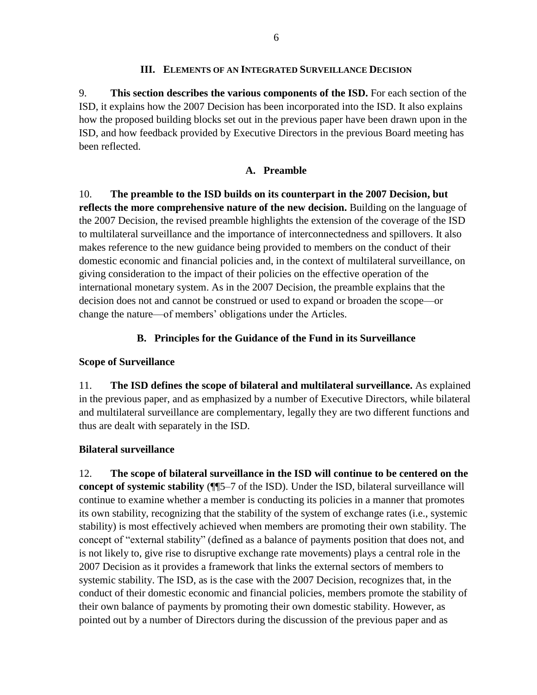#### **III. ELEMENTS OF AN INTEGRATED SURVEILLANCE DECISION**

9. **This section describes the various components of the ISD.** For each section of the ISD, it explains how the 2007 Decision has been incorporated into the ISD. It also explains how the proposed building blocks set out in the previous paper have been drawn upon in the ISD, and how feedback provided by Executive Directors in the previous Board meeting has been reflected.

#### **A. Preamble**

10. **The preamble to the ISD builds on its counterpart in the 2007 Decision, but reflects the more comprehensive nature of the new decision.** Building on the language of the 2007 Decision, the revised preamble highlights the extension of the coverage of the ISD to multilateral surveillance and the importance of interconnectedness and spillovers. It also makes reference to the new guidance being provided to members on the conduct of their domestic economic and financial policies and, in the context of multilateral surveillance, on giving consideration to the impact of their policies on the effective operation of the international monetary system. As in the 2007 Decision, the preamble explains that the decision does not and cannot be construed or used to expand or broaden the scope—or change the nature—of members' obligations under the Articles.

## **B. Principles for the Guidance of the Fund in its Surveillance**

## **Scope of Surveillance**

11. **The ISD defines the scope of bilateral and multilateral surveillance.** As explained in the previous paper, and as emphasized by a number of Executive Directors, while bilateral and multilateral surveillance are complementary, legally they are two different functions and thus are dealt with separately in the ISD.

## **Bilateral surveillance**

12. **The scope of bilateral surveillance in the ISD will continue to be centered on the concept of systemic stability** ( $\P$ 5–7 of the ISD). Under the ISD, bilateral surveillance will continue to examine whether a member is conducting its policies in a manner that promotes its own stability, recognizing that the stability of the system of exchange rates (i.e., systemic stability) is most effectively achieved when members are promoting their own stability. The concept of "external stability" (defined as a balance of payments position that does not, and is not likely to, give rise to disruptive exchange rate movements) plays a central role in the 2007 Decision as it provides a framework that links the external sectors of members to systemic stability. The ISD, as is the case with the 2007 Decision, recognizes that, in the conduct of their domestic economic and financial policies, members promote the stability of their own balance of payments by promoting their own domestic stability. However, as pointed out by a number of Directors during the discussion of the previous paper and as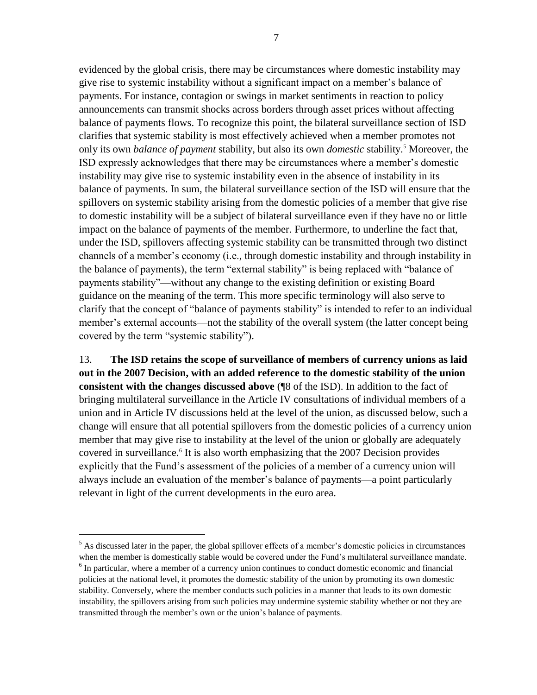evidenced by the global crisis, there may be circumstances where domestic instability may give rise to systemic instability without a significant impact on a member's balance of payments. For instance, contagion or swings in market sentiments in reaction to policy announcements can transmit shocks across borders through asset prices without affecting balance of payments flows. To recognize this point, the bilateral surveillance section of ISD clarifies that systemic stability is most effectively achieved when a member promotes not only its own *balance of payment* stability, but also its own *domestic* stability.<sup>5</sup> Moreover, the ISD expressly acknowledges that there may be circumstances where a member's domestic instability may give rise to systemic instability even in the absence of instability in its balance of payments. In sum, the bilateral surveillance section of the ISD will ensure that the spillovers on systemic stability arising from the domestic policies of a member that give rise to domestic instability will be a subject of bilateral surveillance even if they have no or little impact on the balance of payments of the member. Furthermore, to underline the fact that, under the ISD, spillovers affecting systemic stability can be transmitted through two distinct channels of a member's economy (i.e., through domestic instability and through instability in the balance of payments), the term "external stability" is being replaced with "balance of payments stability"—without any change to the existing definition or existing Board guidance on the meaning of the term. This more specific terminology will also serve to clarify that the concept of "balance of payments stability" is intended to refer to an individual member's external accounts—not the stability of the overall system (the latter concept being covered by the term "systemic stability").

13. **The ISD retains the scope of surveillance of members of currency unions as laid out in the 2007 Decision, with an added reference to the domestic stability of the union consistent with the changes discussed above** (¶8 of the ISD). In addition to the fact of bringing multilateral surveillance in the Article IV consultations of individual members of a union and in Article IV discussions held at the level of the union, as discussed below, such a change will ensure that all potential spillovers from the domestic policies of a currency union member that may give rise to instability at the level of the union or globally are adequately covered in surveillance.<sup>6</sup> It is also worth emphasizing that the 2007 Decision provides explicitly that the Fund's assessment of the policies of a member of a currency union will always include an evaluation of the member's balance of payments—a point particularly relevant in light of the current developments in the euro area.

 $\overline{a}$ 

 $<sup>5</sup>$  As discussed later in the paper, the global spillover effects of a member's domestic policies in circumstances</sup> when the member is domestically stable would be covered under the Fund's multilateral surveillance mandate. <sup>6</sup> In particular, where a member of a currency union continues to conduct domestic economic and financial policies at the national level, it promotes the domestic stability of the union by promoting its own domestic stability. Conversely, where the member conducts such policies in a manner that leads to its own domestic instability, the spillovers arising from such policies may undermine systemic stability whether or not they are transmitted through the member's own or the union's balance of payments.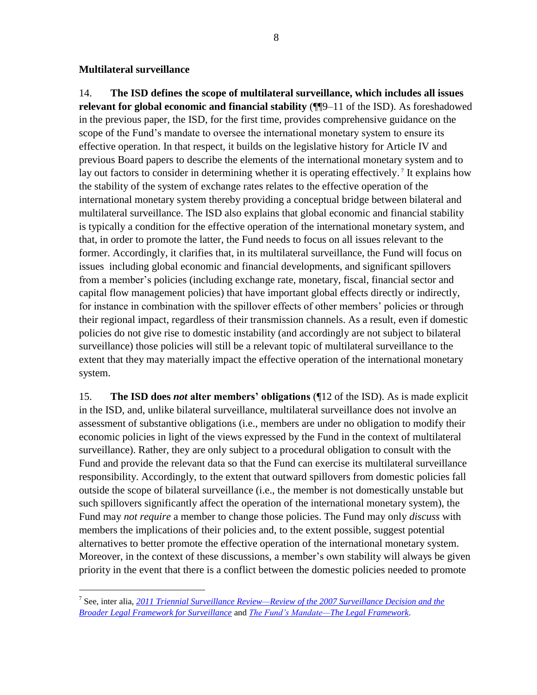#### **Multilateral surveillance**

 $\overline{a}$ 

14. **The ISD defines the scope of multilateral surveillance, which includes all issues relevant for global economic and financial stability** (¶¶9–11 of the ISD). As foreshadowed in the previous paper, the ISD, for the first time, provides comprehensive guidance on the scope of the Fund's mandate to oversee the international monetary system to ensure its effective operation. In that respect, it builds on the legislative history for Article IV and previous Board papers to describe the elements of the international monetary system and to lay out factors to consider in determining whether it is operating effectively.<sup>7</sup> It explains how the stability of the system of exchange rates relates to the effective operation of the international monetary system thereby providing a conceptual bridge between bilateral and multilateral surveillance. The ISD also explains that global economic and financial stability is typically a condition for the effective operation of the international monetary system, and that, in order to promote the latter, the Fund needs to focus on all issues relevant to the former. Accordingly, it clarifies that, in its multilateral surveillance, the Fund will focus on issues including global economic and financial developments, and significant spillovers from a member's policies (including exchange rate, monetary, fiscal, financial sector and capital flow management policies) that have important global effects directly or indirectly, for instance in combination with the spillover effects of other members' policies or through their regional impact, regardless of their transmission channels. As a result, even if domestic policies do not give rise to domestic instability (and accordingly are not subject to bilateral surveillance) those policies will still be a relevant topic of multilateral surveillance to the extent that they may materially impact the effective operation of the international monetary system.

15. **The ISD does** *not* **alter members' obligations** (¶12 of the ISD). As is made explicit in the ISD, and, unlike bilateral surveillance, multilateral surveillance does not involve an assessment of substantive obligations (i.e., members are under no obligation to modify their economic policies in light of the views expressed by the Fund in the context of multilateral surveillance). Rather, they are only subject to a procedural obligation to consult with the Fund and provide the relevant data so that the Fund can exercise its multilateral surveillance responsibility. Accordingly, to the extent that outward spillovers from domestic policies fall outside the scope of bilateral surveillance (i.e., the member is not domestically unstable but such spillovers significantly affect the operation of the international monetary system), the Fund may *not require* a member to change those policies. The Fund may only *discuss* with members the implications of their policies and, to the extent possible, suggest potential alternatives to better promote the effective operation of the international monetary system. Moreover, in the context of these discussions, a member's own stability will always be given priority in the event that there is a conflict between the domestic policies needed to promote

<sup>7</sup> See, inter alia, *[2011 Triennial Surveillance Review—Review of the 2007 Surveillance Decision and the](https://www.imf.org/external/np/pp/eng/2011/082611.pdf)  [Broader Legal Framework for Surveillance](https://www.imf.org/external/np/pp/eng/2011/082611.pdf)* and *[The Fund's Mandate—The Legal Framework](http://www.imf.org/external/np/pp/eng/2010/022210.pdf)*.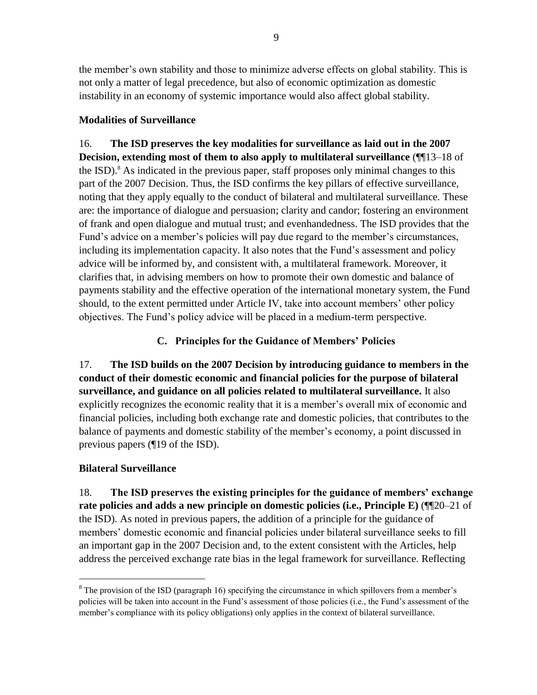the member's own stability and those to minimize adverse effects on global stability. This is not only a matter of legal precedence, but also of economic optimization as domestic instability in an economy of systemic importance would also affect global stability.

## **Modalities of Surveillance**

16. **The ISD preserves the key modalities for surveillance as laid out in the 2007 Decision, extending most of them to also apply to multilateral surveillance** (¶¶13–18 of the ISD). <sup>8</sup> As indicated in the previous paper, staff proposes only minimal changes to this part of the 2007 Decision. Thus, the ISD confirms the key pillars of effective surveillance, noting that they apply equally to the conduct of bilateral and multilateral surveillance. These are: the importance of dialogue and persuasion; clarity and candor; fostering an environment of frank and open dialogue and mutual trust; and evenhandedness. The ISD provides that the Fund's advice on a member's policies will pay due regard to the member's circumstances, including its implementation capacity. It also notes that the Fund's assessment and policy advice will be informed by, and consistent with, a multilateral framework. Moreover, it clarifies that, in advising members on how to promote their own domestic and balance of payments stability and the effective operation of the international monetary system, the Fund should, to the extent permitted under Article IV, take into account members' other policy objectives. The Fund's policy advice will be placed in a medium-term perspective.

## **C. Principles for the Guidance of Members' Policies**

17. **The ISD builds on the 2007 Decision by introducing guidance to members in the conduct of their domestic economic and financial policies for the purpose of bilateral surveillance, and guidance on all policies related to multilateral surveillance.** It also explicitly recognizes the economic reality that it is a member's overall mix of economic and financial policies, including both exchange rate and domestic policies, that contributes to the balance of payments and domestic stability of the member's economy, a point discussed in previous papers (¶19 of the ISD).

## **Bilateral Surveillance**

 $\overline{a}$ 

18. **The ISD preserves the existing principles for the guidance of members' exchange rate policies and adds a new principle on domestic policies (i.e., Principle E)** (¶¶20–21 of the ISD). As noted in previous papers, the addition of a principle for the guidance of members' domestic economic and financial policies under bilateral surveillance seeks to fill an important gap in the 2007 Decision and, to the extent consistent with the Articles, help address the perceived exchange rate bias in the legal framework for surveillance. Reflecting

 $8$  The provision of the ISD (paragraph 16) specifying the circumstance in which spillovers from a member's policies will be taken into account in the Fund's assessment of those policies (i.e., the Fund's assessment of the member's compliance with its policy obligations) only applies in the context of bilateral surveillance.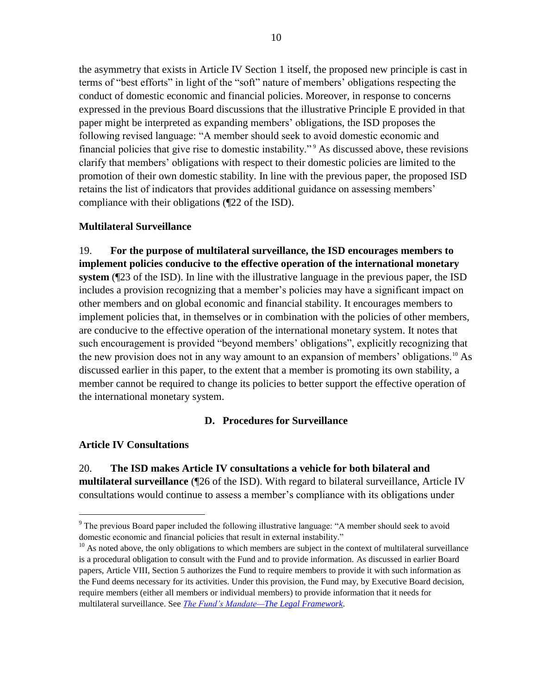the asymmetry that exists in Article IV Section 1 itself, the proposed new principle is cast in terms of "best efforts" in light of the "soft" nature of members' obligations respecting the conduct of domestic economic and financial policies. Moreover, in response to concerns expressed in the previous Board discussions that the illustrative Principle E provided in that paper might be interpreted as expanding members' obligations, the ISD proposes the following revised language: "A member should seek to avoid domestic economic and financial policies that give rise to domestic instability."<sup>9</sup> As discussed above, these revisions clarify that members' obligations with respect to their domestic policies are limited to the promotion of their own domestic stability. In line with the previous paper, the proposed ISD retains the list of indicators that provides additional guidance on assessing members' compliance with their obligations (¶22 of the ISD).

#### **Multilateral Surveillance**

19. **For the purpose of multilateral surveillance, the ISD encourages members to implement policies conducive to the effective operation of the international monetary system** (¶23 of the ISD). In line with the illustrative language in the previous paper, the ISD includes a provision recognizing that a member's policies may have a significant impact on other members and on global economic and financial stability. It encourages members to implement policies that, in themselves or in combination with the policies of other members, are conducive to the effective operation of the international monetary system. It notes that such encouragement is provided "beyond members' obligations", explicitly recognizing that the new provision does not in any way amount to an expansion of members' obligations.<sup>10</sup> As discussed earlier in this paper, to the extent that a member is promoting its own stability, a member cannot be required to change its policies to better support the effective operation of the international monetary system.

#### **D. Procedures for Surveillance**

#### **Article IV Consultations**

 $\overline{a}$ 

20. **The ISD makes Article IV consultations a vehicle for both bilateral and multilateral surveillance** (¶26 of the ISD). With regard to bilateral surveillance, Article IV consultations would continue to assess a member's compliance with its obligations under

 $9$  The previous Board paper included the following illustrative language: "A member should seek to avoid domestic economic and financial policies that result in external instability."

 $10$  As noted above, the only obligations to which members are subject in the context of multilateral surveillance is a procedural obligation to consult with the Fund and to provide information. As discussed in earlier Board papers, Article VIII, Section 5 authorizes the Fund to require members to provide it with such information as the Fund deems necessary for its activities. Under this provision, the Fund may, by Executive Board decision, require members (either all members or individual members) to provide information that it needs for multilateral surveillance. See *[The Fund's Mandate—The Legal Framework](http://www.imf.org/external/np/pp/eng/2010/022210.pdf)*.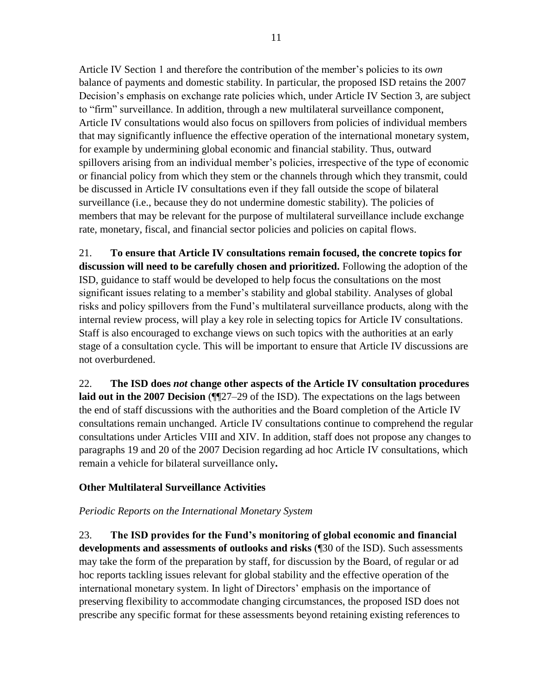Article IV Section 1 and therefore the contribution of the member's policies to its *own* balance of payments and domestic stability. In particular, the proposed ISD retains the 2007 Decision's emphasis on exchange rate policies which, under Article IV Section 3, are subject to "firm" surveillance. In addition, through a new multilateral surveillance component, Article IV consultations would also focus on spillovers from policies of individual members that may significantly influence the effective operation of the international monetary system, for example by undermining global economic and financial stability. Thus, outward spillovers arising from an individual member's policies, irrespective of the type of economic or financial policy from which they stem or the channels through which they transmit, could be discussed in Article IV consultations even if they fall outside the scope of bilateral surveillance (i.e., because they do not undermine domestic stability). The policies of members that may be relevant for the purpose of multilateral surveillance include exchange rate, monetary, fiscal, and financial sector policies and policies on capital flows.

21. **To ensure that Article IV consultations remain focused, the concrete topics for discussion will need to be carefully chosen and prioritized.** Following the adoption of the ISD, guidance to staff would be developed to help focus the consultations on the most significant issues relating to a member's stability and global stability. Analyses of global risks and policy spillovers from the Fund's multilateral surveillance products, along with the internal review process, will play a key role in selecting topics for Article IV consultations. Staff is also encouraged to exchange views on such topics with the authorities at an early stage of a consultation cycle. This will be important to ensure that Article IV discussions are not overburdened.

22. **The ISD does** *not* **change other aspects of the Article IV consultation procedures laid out in the 2007 Decision** ( $\P$ 27–29 of the ISD). The expectations on the lags between the end of staff discussions with the authorities and the Board completion of the Article IV consultations remain unchanged. Article IV consultations continue to comprehend the regular consultations under Articles VIII and XIV. In addition, staff does not propose any changes to paragraphs 19 and 20 of the 2007 Decision regarding ad hoc Article IV consultations, which remain a vehicle for bilateral surveillance only**.** 

## **Other Multilateral Surveillance Activities**

## *Periodic Reports on the International Monetary System*

23. **The ISD provides for the Fund's monitoring of global economic and financial developments and assessments of outlooks and risks** (¶30 of the ISD). Such assessments may take the form of the preparation by staff, for discussion by the Board, of regular or ad hoc reports tackling issues relevant for global stability and the effective operation of the international monetary system. In light of Directors' emphasis on the importance of preserving flexibility to accommodate changing circumstances, the proposed ISD does not prescribe any specific format for these assessments beyond retaining existing references to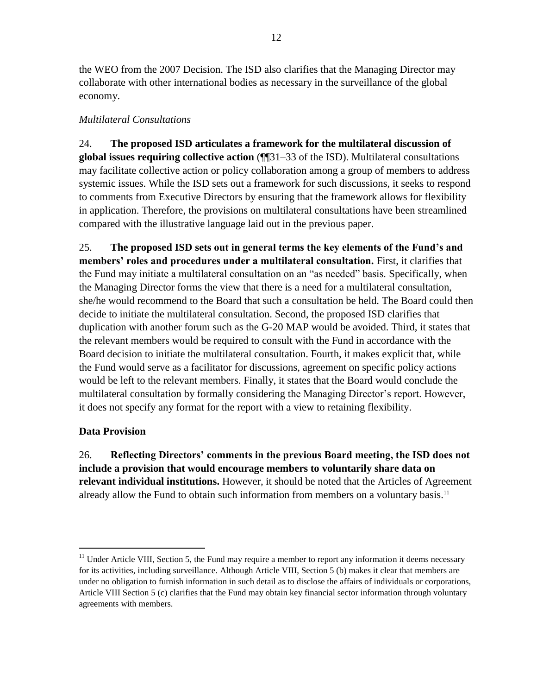the WEO from the 2007 Decision. The ISD also clarifies that the Managing Director may collaborate with other international bodies as necessary in the surveillance of the global economy.

## *Multilateral Consultations*

24. **The proposed ISD articulates a framework for the multilateral discussion of global issues requiring collective action** (¶¶31–33 of the ISD). Multilateral consultations may facilitate collective action or policy collaboration among a group of members to address systemic issues. While the ISD sets out a framework for such discussions, it seeks to respond to comments from Executive Directors by ensuring that the framework allows for flexibility in application. Therefore, the provisions on multilateral consultations have been streamlined compared with the illustrative language laid out in the previous paper.

25. **The proposed ISD sets out in general terms the key elements of the Fund's and members' roles and procedures under a multilateral consultation.** First, it clarifies that the Fund may initiate a multilateral consultation on an "as needed" basis. Specifically, when the Managing Director forms the view that there is a need for a multilateral consultation, she/he would recommend to the Board that such a consultation be held. The Board could then decide to initiate the multilateral consultation. Second, the proposed ISD clarifies that duplication with another forum such as the G-20 MAP would be avoided. Third, it states that the relevant members would be required to consult with the Fund in accordance with the Board decision to initiate the multilateral consultation. Fourth, it makes explicit that, while the Fund would serve as a facilitator for discussions, agreement on specific policy actions would be left to the relevant members. Finally, it states that the Board would conclude the multilateral consultation by formally considering the Managing Director's report. However, it does not specify any format for the report with a view to retaining flexibility.

## **Data Provision**

 $\overline{a}$ 

26. **Reflecting Directors' comments in the previous Board meeting, the ISD does not include a provision that would encourage members to voluntarily share data on relevant individual institutions.** However, it should be noted that the Articles of Agreement already allow the Fund to obtain such information from members on a voluntary basis.<sup>11</sup>

<sup>&</sup>lt;sup>11</sup> Under Article VIII, Section 5, the Fund may require a member to report any information it deems necessary for its activities, including surveillance. Although Article VIII, Section 5 (b) makes it clear that members are under no obligation to furnish information in such detail as to disclose the affairs of individuals or corporations, Article VIII Section 5 (c) clarifies that the Fund may obtain key financial sector information through voluntary agreements with members.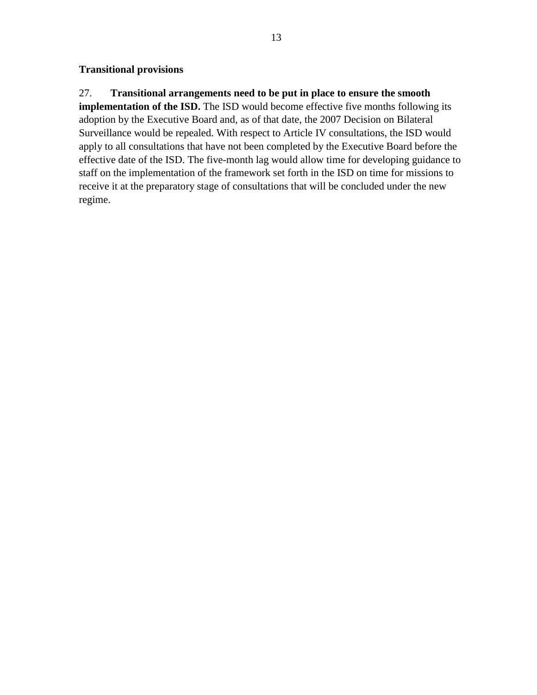#### **Transitional provisions**

#### 27. **Transitional arrangements need to be put in place to ensure the smooth**

**implementation of the ISD.** The ISD would become effective five months following its adoption by the Executive Board and, as of that date, the 2007 Decision on Bilateral Surveillance would be repealed. With respect to Article IV consultations, the ISD would apply to all consultations that have not been completed by the Executive Board before the effective date of the ISD. The five-month lag would allow time for developing guidance to staff on the implementation of the framework set forth in the ISD on time for missions to receive it at the preparatory stage of consultations that will be concluded under the new regime.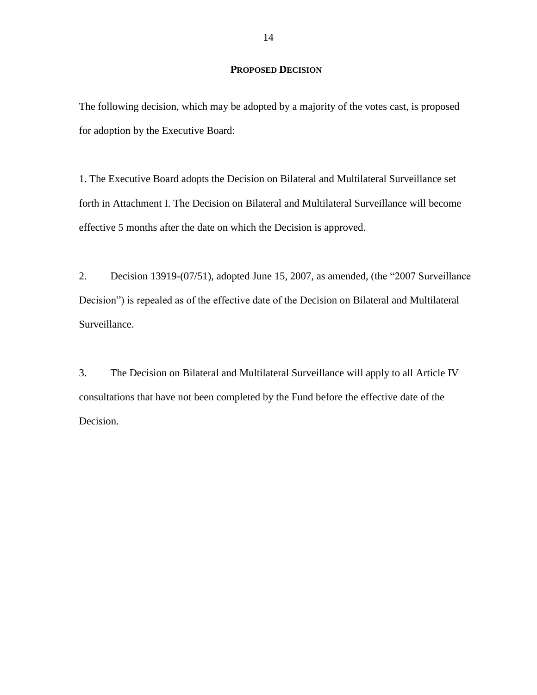#### **PROPOSED DECISION**

The following decision, which may be adopted by a majority of the votes cast, is proposed for adoption by the Executive Board:

1. The Executive Board adopts the Decision on Bilateral and Multilateral Surveillance set forth in Attachment I. The Decision on Bilateral and Multilateral Surveillance will become effective 5 months after the date on which the Decision is approved.

2. Decision 13919-(07/51), adopted June 15, 2007, as amended, (the  $"2007$  Surveillance Decision") is repealed as of the effective date of the Decision on Bilateral and Multilateral Surveillance.

3. The Decision on Bilateral and Multilateral Surveillance will apply to all Article IV consultations that have not been completed by the Fund before the effective date of the Decision.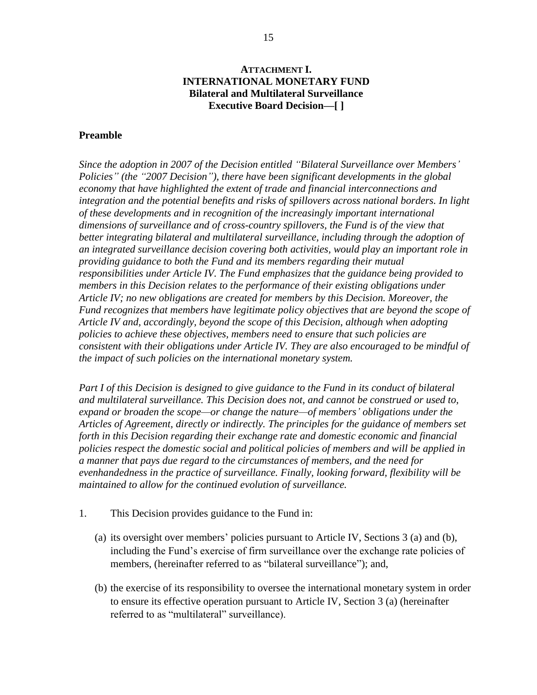#### **ATTACHMENT I. INTERNATIONAL MONETARY FUND Bilateral and Multilateral Surveillance Executive Board Decision—[ ]**

#### **Preamble**

Since the adoption in 2007 of the Decision entitled "Bilateral Surveillance over Members' *Policies*" (the "2007 Decision"), there have been significant developments in the global *economy that have highlighted the extent of trade and financial interconnections and integration and the potential benefits and risks of spillovers across national borders. In light of these developments and in recognition of the increasingly important international dimensions of surveillance and of cross-country spillovers, the Fund is of the view that better integrating bilateral and multilateral surveillance, including through the adoption of an integrated surveillance decision covering both activities, would play an important role in providing guidance to both the Fund and its members regarding their mutual responsibilities under Article IV. The Fund emphasizes that the guidance being provided to members in this Decision relates to the performance of their existing obligations under Article IV; no new obligations are created for members by this Decision. Moreover, the Fund recognizes that members have legitimate policy objectives that are beyond the scope of Article IV and, accordingly, beyond the scope of this Decision, although when adopting policies to achieve these objectives, members need to ensure that such policies are consistent with their obligations under Article IV. They are also encouraged to be mindful of the impact of such policies on the international monetary system.* 

*Part I of this Decision is designed to give guidance to the Fund in its conduct of bilateral and multilateral surveillance. This Decision does not, and cannot be construed or used to, expand or broaden the scope—or change the nature—of members' obligations under the Articles of Agreement, directly or indirectly. The principles for the guidance of members set forth in this Decision regarding their exchange rate and domestic economic and financial policies respect the domestic social and political policies of members and will be applied in a manner that pays due regard to the circumstances of members, and the need for evenhandedness in the practice of surveillance. Finally, looking forward, flexibility will be maintained to allow for the continued evolution of surveillance.*

- 1. This Decision provides guidance to the Fund in:
	- (a) its oversight over members' policies pursuant to Article IV, Sections 3 (a) and (b), including the Fund's exercise of firm surveillance over the exchange rate policies of members, (hereinafter referred to as "bilateral surveillance"); and,
	- (b) the exercise of its responsibility to oversee the international monetary system in order to ensure its effective operation pursuant to Article IV, Section 3 (a) (hereinafter referred to as "multilateral" surveillance).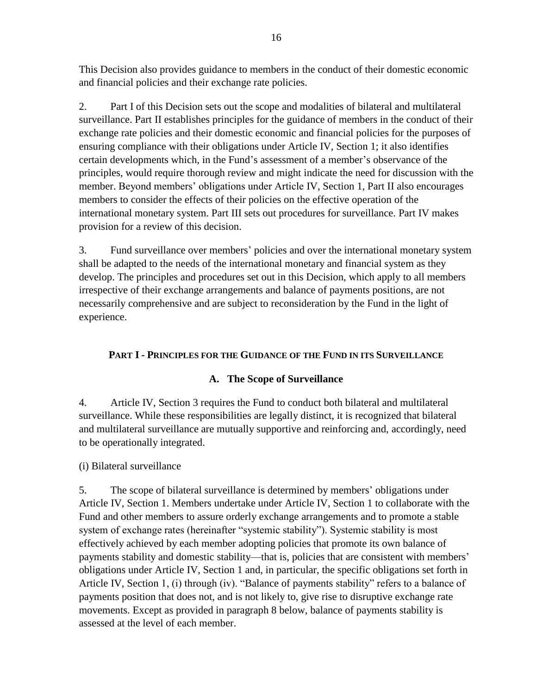This Decision also provides guidance to members in the conduct of their domestic economic and financial policies and their exchange rate policies.

2. Part I of this Decision sets out the scope and modalities of bilateral and multilateral surveillance. Part II establishes principles for the guidance of members in the conduct of their exchange rate policies and their domestic economic and financial policies for the purposes of ensuring compliance with their obligations under Article IV, Section 1; it also identifies certain developments which, in the Fund's assessment of a member's observance of the principles, would require thorough review and might indicate the need for discussion with the member. Beyond members' obligations under Article IV, Section 1, Part II also encourages members to consider the effects of their policies on the effective operation of the international monetary system. Part III sets out procedures for surveillance. Part IV makes provision for a review of this decision.

3. Fund surveillance over members' policies and over the international monetary system shall be adapted to the needs of the international monetary and financial system as they develop. The principles and procedures set out in this Decision, which apply to all members irrespective of their exchange arrangements and balance of payments positions, are not necessarily comprehensive and are subject to reconsideration by the Fund in the light of experience.

## **PART I - PRINCIPLES FOR THE GUIDANCE OF THE FUND IN ITS SURVEILLANCE**

## **A. The Scope of Surveillance**

4. Article IV, Section 3 requires the Fund to conduct both bilateral and multilateral surveillance. While these responsibilities are legally distinct, it is recognized that bilateral and multilateral surveillance are mutually supportive and reinforcing and, accordingly, need to be operationally integrated.

## (i) Bilateral surveillance

5. The scope of bilateral surveillance is determined by members' obligations under Article IV, Section 1. Members undertake under Article IV, Section 1 to collaborate with the Fund and other members to assure orderly exchange arrangements and to promote a stable system of exchange rates (hereinafter "systemic stability"). Systemic stability is most effectively achieved by each member adopting policies that promote its own balance of payments stability and domestic stability—that is, policies that are consistent with members' obligations under Article IV, Section 1 and, in particular, the specific obligations set forth in Article IV, Section 1, (i) through (iv). "Balance of payments stability" refers to a balance of payments position that does not, and is not likely to, give rise to disruptive exchange rate movements. Except as provided in paragraph 8 below, balance of payments stability is assessed at the level of each member.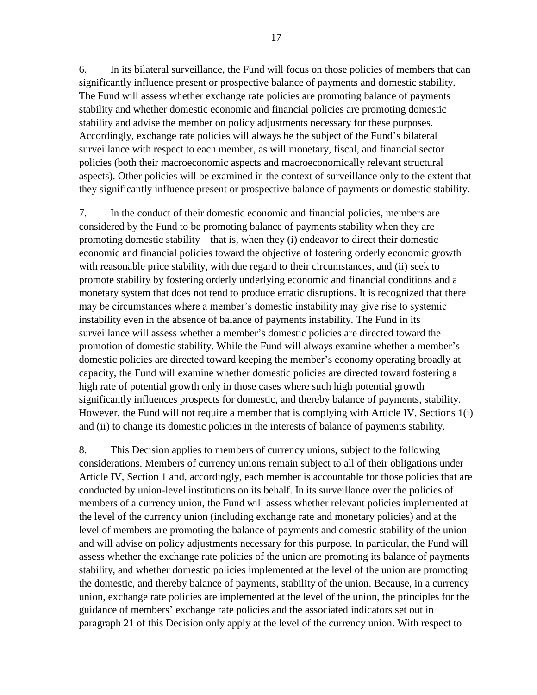6. In its bilateral surveillance, the Fund will focus on those policies of members that can significantly influence present or prospective balance of payments and domestic stability. The Fund will assess whether exchange rate policies are promoting balance of payments stability and whether domestic economic and financial policies are promoting domestic stability and advise the member on policy adjustments necessary for these purposes. Accordingly, exchange rate policies will always be the subject of the Fund's bilateral surveillance with respect to each member, as will monetary, fiscal, and financial sector policies (both their macroeconomic aspects and macroeconomically relevant structural aspects). Other policies will be examined in the context of surveillance only to the extent that they significantly influence present or prospective balance of payments or domestic stability.

7. In the conduct of their domestic economic and financial policies, members are considered by the Fund to be promoting balance of payments stability when they are promoting domestic stability—that is, when they (i) endeavor to direct their domestic economic and financial policies toward the objective of fostering orderly economic growth with reasonable price stability, with due regard to their circumstances, and (ii) seek to promote stability by fostering orderly underlying economic and financial conditions and a monetary system that does not tend to produce erratic disruptions. It is recognized that there may be circumstances where a member's domestic instability may give rise to systemic instability even in the absence of balance of payments instability. The Fund in its surveillance will assess whether a member's domestic policies are directed toward the promotion of domestic stability. While the Fund will always examine whether a member's domestic policies are directed toward keeping the member's economy operating broadly at capacity, the Fund will examine whether domestic policies are directed toward fostering a high rate of potential growth only in those cases where such high potential growth significantly influences prospects for domestic, and thereby balance of payments, stability. However, the Fund will not require a member that is complying with Article IV, Sections 1(i) and (ii) to change its domestic policies in the interests of balance of payments stability.

8. This Decision applies to members of currency unions, subject to the following considerations. Members of currency unions remain subject to all of their obligations under Article IV, Section 1 and, accordingly, each member is accountable for those policies that are conducted by union-level institutions on its behalf. In its surveillance over the policies of members of a currency union, the Fund will assess whether relevant policies implemented at the level of the currency union (including exchange rate and monetary policies) and at the level of members are promoting the balance of payments and domestic stability of the union and will advise on policy adjustments necessary for this purpose. In particular, the Fund will assess whether the exchange rate policies of the union are promoting its balance of payments stability, and whether domestic policies implemented at the level of the union are promoting the domestic, and thereby balance of payments, stability of the union. Because, in a currency union, exchange rate policies are implemented at the level of the union, the principles for the guidance of members' exchange rate policies and the associated indicators set out in paragraph 21 of this Decision only apply at the level of the currency union. With respect to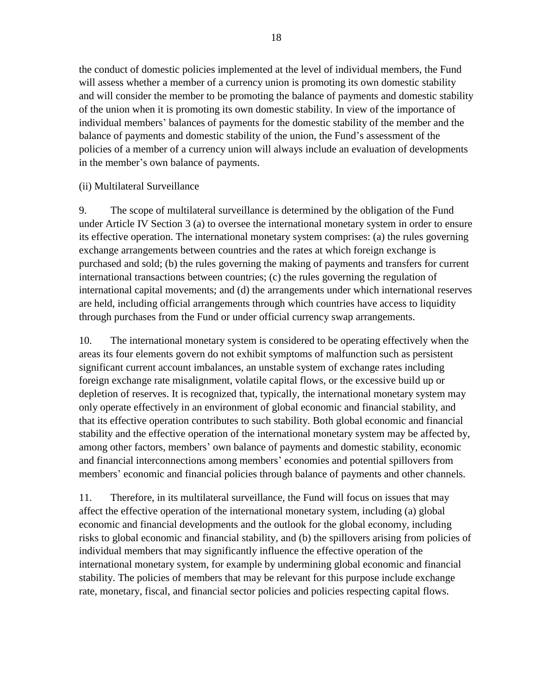the conduct of domestic policies implemented at the level of individual members, the Fund will assess whether a member of a currency union is promoting its own domestic stability and will consider the member to be promoting the balance of payments and domestic stability of the union when it is promoting its own domestic stability. In view of the importance of individual members' balances of payments for the domestic stability of the member and the balance of payments and domestic stability of the union, the Fund's assessment of the policies of a member of a currency union will always include an evaluation of developments in the member's own balance of payments.

#### (ii) Multilateral Surveillance

9. The scope of multilateral surveillance is determined by the obligation of the Fund under Article IV Section 3 (a) to oversee the international monetary system in order to ensure its effective operation. The international monetary system comprises: (a) the rules governing exchange arrangements between countries and the rates at which foreign exchange is purchased and sold; (b) the rules governing the making of payments and transfers for current international transactions between countries; (c) the rules governing the regulation of international capital movements; and (d) the arrangements under which international reserves are held, including official arrangements through which countries have access to liquidity through purchases from the Fund or under official currency swap arrangements.

10. The international monetary system is considered to be operating effectively when the areas its four elements govern do not exhibit symptoms of malfunction such as persistent significant current account imbalances, an unstable system of exchange rates including foreign exchange rate misalignment, volatile capital flows, or the excessive build up or depletion of reserves. It is recognized that, typically, the international monetary system may only operate effectively in an environment of global economic and financial stability, and that its effective operation contributes to such stability. Both global economic and financial stability and the effective operation of the international monetary system may be affected by, among other factors, members' own balance of payments and domestic stability, economic and financial interconnections among members' economies and potential spillovers from members' economic and financial policies through balance of payments and other channels.

11. Therefore, in its multilateral surveillance, the Fund will focus on issues that may affect the effective operation of the international monetary system, including (a) global economic and financial developments and the outlook for the global economy, including risks to global economic and financial stability, and (b) the spillovers arising from policies of individual members that may significantly influence the effective operation of the international monetary system, for example by undermining global economic and financial stability. The policies of members that may be relevant for this purpose include exchange rate, monetary, fiscal, and financial sector policies and policies respecting capital flows.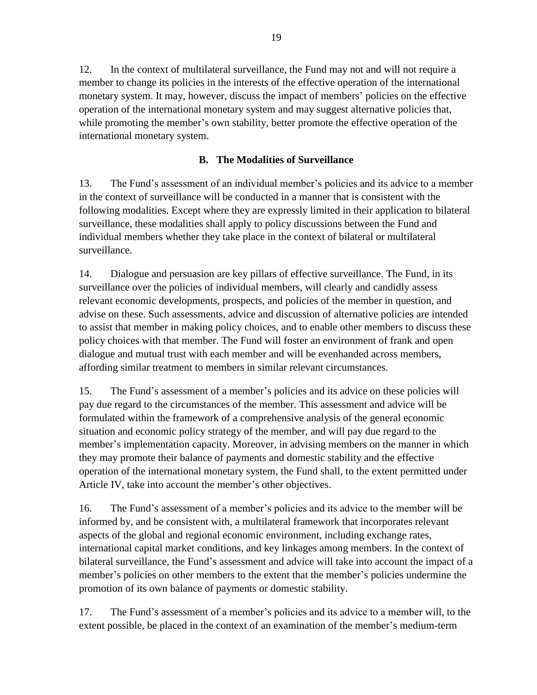12. In the context of multilateral surveillance, the Fund may not and will not require a member to change its policies in the interests of the effective operation of the international monetary system. It may, however, discuss the impact of members' policies on the effective operation of the international monetary system and may suggest alternative policies that, while promoting the member's own stability, better promote the effective operation of the international monetary system.

## **B. The Modalities of Surveillance**

13. The Fund's assessment of an individual member's policies and its advice to a member in the context of surveillance will be conducted in a manner that is consistent with the following modalities. Except where they are expressly limited in their application to bilateral surveillance, these modalities shall apply to policy discussions between the Fund and individual members whether they take place in the context of bilateral or multilateral surveillance.

14. Dialogue and persuasion are key pillars of effective surveillance. The Fund, in its surveillance over the policies of individual members, will clearly and candidly assess relevant economic developments, prospects, and policies of the member in question, and advise on these. Such assessments, advice and discussion of alternative policies are intended to assist that member in making policy choices, and to enable other members to discuss these policy choices with that member. The Fund will foster an environment of frank and open dialogue and mutual trust with each member and will be evenhanded across members, affording similar treatment to members in similar relevant circumstances.

15. The Fund's assessment of a member's policies and its advice on these policies will pay due regard to the circumstances of the member. This assessment and advice will be formulated within the framework of a comprehensive analysis of the general economic situation and economic policy strategy of the member, and will pay due regard to the member's implementation capacity. Moreover, in advising members on the manner in which they may promote their balance of payments and domestic stability and the effective operation of the international monetary system, the Fund shall, to the extent permitted under Article IV, take into account the member's other objectives.

16. The Fund's assessment of a member's policies and its advice to the member will be informed by, and be consistent with, a multilateral framework that incorporates relevant aspects of the global and regional economic environment, including exchange rates, international capital market conditions, and key linkages among members. In the context of bilateral surveillance, the Fund's assessment and advice will take into account the impact of a member's policies on other members to the extent that the member's policies undermine the promotion of its own balance of payments or domestic stability.

17. The Fund's assessment of a member's policies and its advice to a member will, to the extent possible, be placed in the context of an examination of the member's medium-term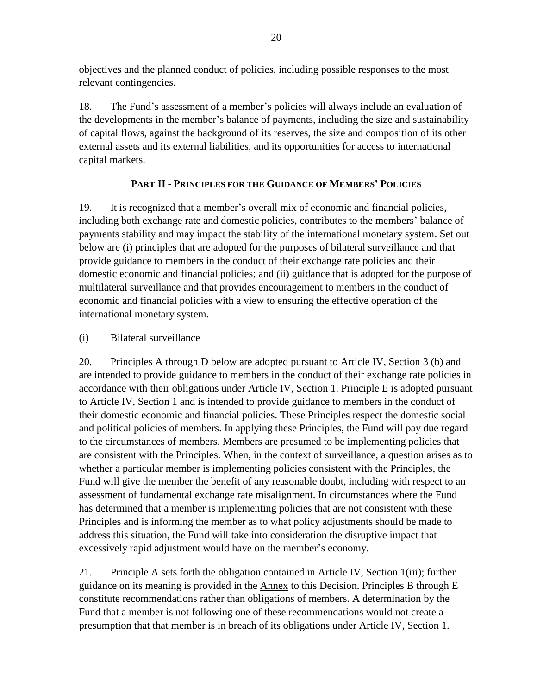objectives and the planned conduct of policies, including possible responses to the most relevant contingencies.

18. The Fund's assessment of a member's policies will always include an evaluation of the developments in the member's balance of payments, including the size and sustainability of capital flows, against the background of its reserves, the size and composition of its other external assets and its external liabilities, and its opportunities for access to international capital markets.

## **PART II - PRINCIPLES FOR THE GUIDANCE OF MEMBERS' POLICIES**

19. It is recognized that a member's overall mix of economic and financial policies, including both exchange rate and domestic policies, contributes to the members' balance of payments stability and may impact the stability of the international monetary system. Set out below are (i) principles that are adopted for the purposes of bilateral surveillance and that provide guidance to members in the conduct of their exchange rate policies and their domestic economic and financial policies; and (ii) guidance that is adopted for the purpose of multilateral surveillance and that provides encouragement to members in the conduct of economic and financial policies with a view to ensuring the effective operation of the international monetary system.

## (i) Bilateral surveillance

20. Principles A through D below are adopted pursuant to Article IV, Section 3 (b) and are intended to provide guidance to members in the conduct of their exchange rate policies in accordance with their obligations under Article IV, Section 1. Principle E is adopted pursuant to Article IV, Section 1 and is intended to provide guidance to members in the conduct of their domestic economic and financial policies. These Principles respect the domestic social and political policies of members. In applying these Principles, the Fund will pay due regard to the circumstances of members. Members are presumed to be implementing policies that are consistent with the Principles. When, in the context of surveillance, a question arises as to whether a particular member is implementing policies consistent with the Principles, the Fund will give the member the benefit of any reasonable doubt, including with respect to an assessment of fundamental exchange rate misalignment. In circumstances where the Fund has determined that a member is implementing policies that are not consistent with these Principles and is informing the member as to what policy adjustments should be made to address this situation, the Fund will take into consideration the disruptive impact that excessively rapid adjustment would have on the member's economy.

21. Principle A sets forth the obligation contained in Article IV, Section 1(iii); further guidance on its meaning is provided in the [Annex](http://www.imf.org/external/np/sec/pn/2007/pn0769.htm#annex) to this Decision. Principles B through E constitute recommendations rather than obligations of members. A determination by the Fund that a member is not following one of these recommendations would not create a presumption that that member is in breach of its obligations under Article IV, Section 1.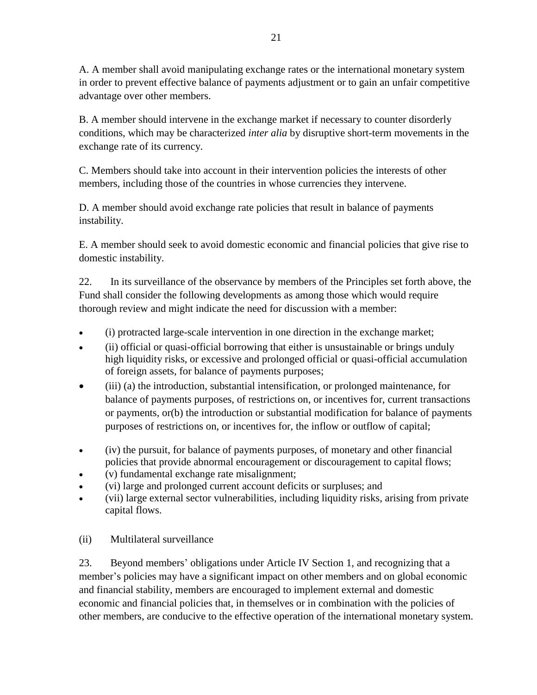A. A member shall avoid manipulating exchange rates or the international monetary system in order to prevent effective balance of payments adjustment or to gain an unfair competitive advantage over other members.

B. A member should intervene in the exchange market if necessary to counter disorderly conditions, which may be characterized *inter alia* by disruptive short-term movements in the exchange rate of its currency.

C. Members should take into account in their intervention policies the interests of other members, including those of the countries in whose currencies they intervene.

D. A member should avoid exchange rate policies that result in balance of payments instability.

E. A member should seek to avoid domestic economic and financial policies that give rise to domestic instability.

22. In its surveillance of the observance by members of the Principles set forth above, the Fund shall consider the following developments as among those which would require thorough review and might indicate the need for discussion with a member:

- (i) protracted large-scale intervention in one direction in the exchange market;
- (ii) official or quasi-official borrowing that either is unsustainable or brings unduly high liquidity risks, or excessive and prolonged official or quasi-official accumulation of foreign assets, for balance of payments purposes;
- (iii) (a) the introduction, substantial intensification, or prolonged maintenance, for balance of payments purposes, of restrictions on, or incentives for, current transactions or payments, or(b) the introduction or substantial modification for balance of payments purposes of restrictions on, or incentives for, the inflow or outflow of capital;
- (iv) the pursuit, for balance of payments purposes, of monetary and other financial policies that provide abnormal encouragement or discouragement to capital flows;
- (v) fundamental exchange rate misalignment;
- (vi) large and prolonged current account deficits or surpluses; and
- (vii) large external sector vulnerabilities, including liquidity risks, arising from private capital flows.

## (ii) Multilateral surveillance

23. Beyond members' obligations under Article IV Section 1, and recognizing that a member's policies may have a significant impact on other members and on global economic and financial stability, members are encouraged to implement external and domestic economic and financial policies that, in themselves or in combination with the policies of other members, are conducive to the effective operation of the international monetary system.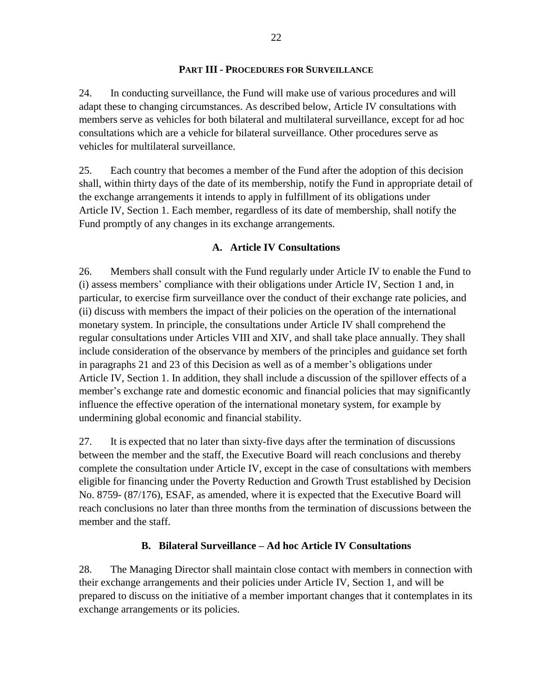#### **PART III - PROCEDURES FOR SURVEILLANCE**

24. In conducting surveillance, the Fund will make use of various procedures and will adapt these to changing circumstances. As described below, Article IV consultations with members serve as vehicles for both bilateral and multilateral surveillance, except for ad hoc consultations which are a vehicle for bilateral surveillance. Other procedures serve as vehicles for multilateral surveillance.

25. Each country that becomes a member of the Fund after the adoption of this decision shall, within thirty days of the date of its membership, notify the Fund in appropriate detail of the exchange arrangements it intends to apply in fulfillment of its obligations under Article IV, Section 1. Each member, regardless of its date of membership, shall notify the Fund promptly of any changes in its exchange arrangements.

## **A. Article IV Consultations**

26. Members shall consult with the Fund regularly under Article IV to enable the Fund to (i) assess members' compliance with their obligations under Article IV, Section 1 and, in particular, to exercise firm surveillance over the conduct of their exchange rate policies, and (ii) discuss with members the impact of their policies on the operation of the international monetary system. In principle, the consultations under Article IV shall comprehend the regular consultations under Articles VIII and XIV, and shall take place annually. They shall include consideration of the observance by members of the principles and guidance set forth in paragraphs 21 and 23 of this Decision as well as of a member's obligations under Article IV, Section 1. In addition, they shall include a discussion of the spillover effects of a member's exchange rate and domestic economic and financial policies that may significantly influence the effective operation of the international monetary system, for example by undermining global economic and financial stability.

27. It is expected that no later than sixty-five days after the termination of discussions between the member and the staff, the Executive Board will reach conclusions and thereby complete the consultation under Article IV, except in the case of consultations with members eligible for financing under the Poverty Reduction and Growth Trust established by Decision No. 8759- (87/176), ESAF, as amended, where it is expected that the Executive Board will reach conclusions no later than three months from the termination of discussions between the member and the staff.

## **B. Bilateral Surveillance – Ad hoc Article IV Consultations**

28. The Managing Director shall maintain close contact with members in connection with their exchange arrangements and their policies under Article IV, Section 1, and will be prepared to discuss on the initiative of a member important changes that it contemplates in its exchange arrangements or its policies.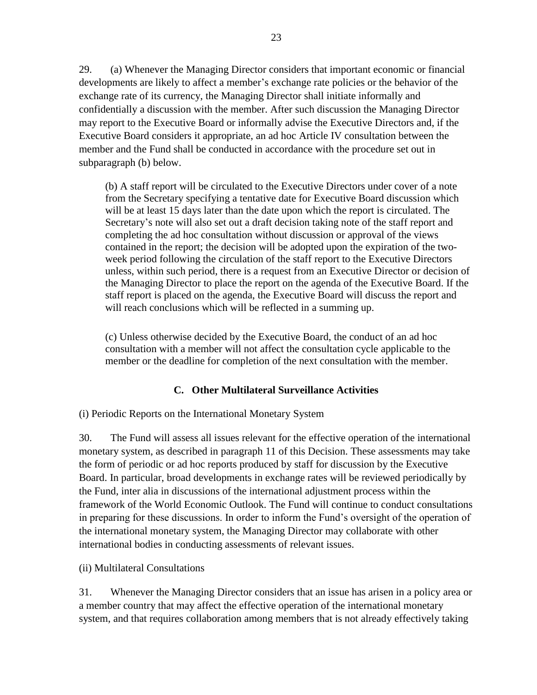29. (a) Whenever the Managing Director considers that important economic or financial developments are likely to affect a member's exchange rate policies or the behavior of the exchange rate of its currency, the Managing Director shall initiate informally and confidentially a discussion with the member. After such discussion the Managing Director may report to the Executive Board or informally advise the Executive Directors and, if the Executive Board considers it appropriate, an ad hoc Article IV consultation between the member and the Fund shall be conducted in accordance with the procedure set out in subparagraph (b) below.

(b) A staff report will be circulated to the Executive Directors under cover of a note from the Secretary specifying a tentative date for Executive Board discussion which will be at least 15 days later than the date upon which the report is circulated. The Secretary's note will also set out a draft decision taking note of the staff report and completing the ad hoc consultation without discussion or approval of the views contained in the report; the decision will be adopted upon the expiration of the twoweek period following the circulation of the staff report to the Executive Directors unless, within such period, there is a request from an Executive Director or decision of the Managing Director to place the report on the agenda of the Executive Board. If the staff report is placed on the agenda, the Executive Board will discuss the report and will reach conclusions which will be reflected in a summing up.

(c) Unless otherwise decided by the Executive Board, the conduct of an ad hoc consultation with a member will not affect the consultation cycle applicable to the member or the deadline for completion of the next consultation with the member.

## **C. Other Multilateral Surveillance Activities**

(i) Periodic Reports on the International Monetary System

30. The Fund will assess all issues relevant for the effective operation of the international monetary system, as described in paragraph 11 of this Decision. These assessments may take the form of periodic or ad hoc reports produced by staff for discussion by the Executive Board. In particular, broad developments in exchange rates will be reviewed periodically by the Fund, inter alia in discussions of the international adjustment process within the framework of the World Economic Outlook. The Fund will continue to conduct consultations in preparing for these discussions. In order to inform the Fund's oversight of the operation of the international monetary system, the Managing Director may collaborate with other international bodies in conducting assessments of relevant issues.

#### (ii) Multilateral Consultations

31. Whenever the Managing Director considers that an issue has arisen in a policy area or a member country that may affect the effective operation of the international monetary system, and that requires collaboration among members that is not already effectively taking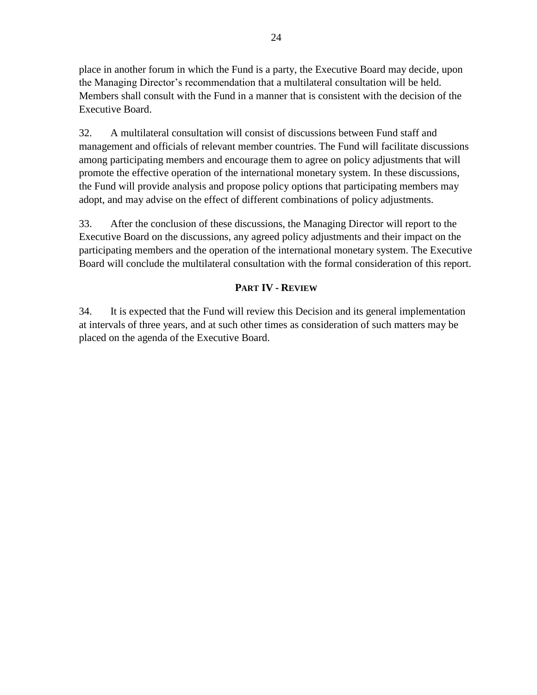place in another forum in which the Fund is a party, the Executive Board may decide, upon the Managing Director's recommendation that a multilateral consultation will be held. Members shall consult with the Fund in a manner that is consistent with the decision of the Executive Board.

32. A multilateral consultation will consist of discussions between Fund staff and management and officials of relevant member countries. The Fund will facilitate discussions among participating members and encourage them to agree on policy adjustments that will promote the effective operation of the international monetary system. In these discussions, the Fund will provide analysis and propose policy options that participating members may adopt, and may advise on the effect of different combinations of policy adjustments.

33. After the conclusion of these discussions, the Managing Director will report to the Executive Board on the discussions, any agreed policy adjustments and their impact on the participating members and the operation of the international monetary system. The Executive Board will conclude the multilateral consultation with the formal consideration of this report.

## **PART IV - REVIEW**

34. It is expected that the Fund will review this Decision and its general implementation at intervals of three years, and at such other times as consideration of such matters may be placed on the agenda of the Executive Board.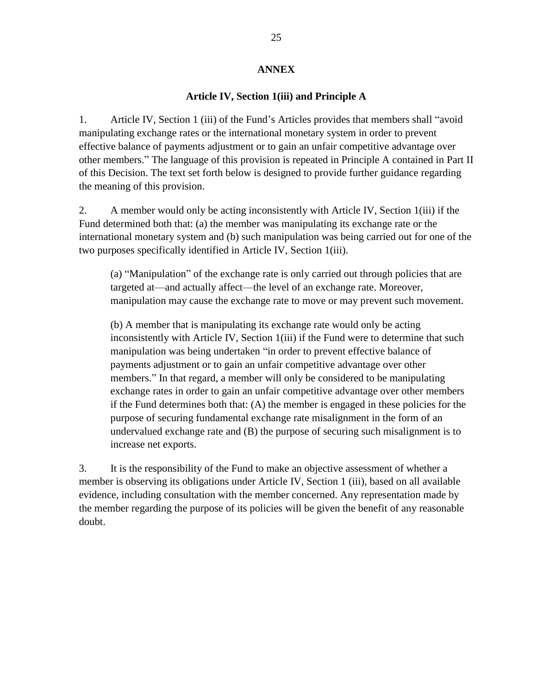#### **ANNEX**

#### **Article IV, Section 1(iii) and Principle A**

1. Article IV, Section 1 (iii) of the Fund's Articles provides that members shall "avoid" manipulating exchange rates or the international monetary system in order to prevent effective balance of payments adjustment or to gain an unfair competitive advantage over other members." The language of this provision is repeated in Principle A contained in Part II of this Decision. The text set forth below is designed to provide further guidance regarding the meaning of this provision.

2. A member would only be acting inconsistently with Article IV, Section 1(iii) if the Fund determined both that: (a) the member was manipulating its exchange rate or the international monetary system and (b) such manipulation was being carried out for one of the two purposes specifically identified in Article IV, Section 1(iii).

(a) "Manipulation" of the exchange rate is only carried out through policies that are targeted at—and actually affect—the level of an exchange rate. Moreover, manipulation may cause the exchange rate to move or may prevent such movement.

(b) A member that is manipulating its exchange rate would only be acting inconsistently with Article IV, Section 1(iii) if the Fund were to determine that such manipulation was being undertaken "in order to prevent effective balance of payments adjustment or to gain an unfair competitive advantage over other members." In that regard, a member will only be considered to be manipulating exchange rates in order to gain an unfair competitive advantage over other members if the Fund determines both that:  $(A)$  the member is engaged in these policies for the purpose of securing fundamental exchange rate misalignment in the form of an undervalued exchange rate and (B) the purpose of securing such misalignment is to increase net exports.

3. It is the responsibility of the Fund to make an objective assessment of whether a member is observing its obligations under Article IV, Section 1 (iii), based on all available evidence, including consultation with the member concerned. Any representation made by the member regarding the purpose of its policies will be given the benefit of any reasonable doubt.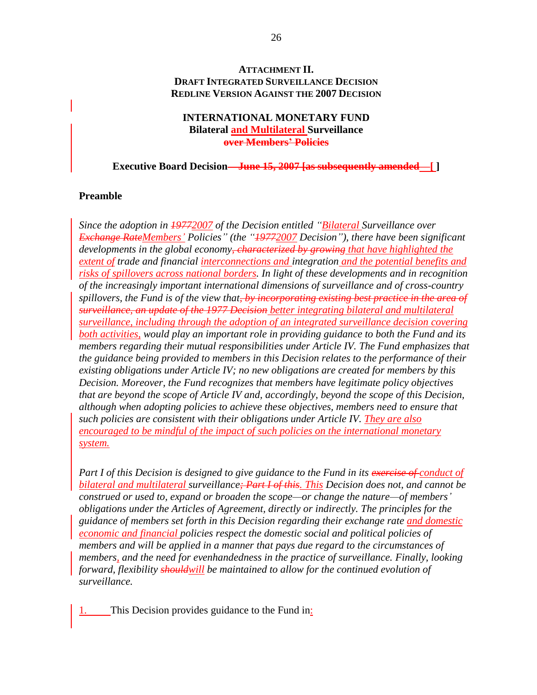#### **ATTACHMENT II. DRAFT INTEGRATED SURVEILLANCE DECISION REDLINE VERSION AGAINST THE 2007 DECISION**

#### **INTERNATIONAL MONETARY FUND Bilateral and Multilateral Surveillance over Members' Policies**

#### **Executive Board Decision—June 15, 2007 [as subsequently amended—[ ]**

#### **Preamble**

*Since the adoption in 19772007 of the Decision entitled "Bilateral Surveillance over Exchange RateMembers' Policies" (the "19772007 Decision"), there have been significant developments in the global economy, characterized by growing that have highlighted the extent of trade and financial interconnections and integration and the potential benefits and risks of spillovers across national borders. In light of these developments and in recognition of the increasingly important international dimensions of surveillance and of cross-country spillovers, the Fund is of the view that, by incorporating existing best practice in the area of surveillance, an update of the 1977 Decision better integrating bilateral and multilateral surveillance, including through the adoption of an integrated surveillance decision covering both activities, would play an important role in providing guidance to both the Fund and its members regarding their mutual responsibilities under Article IV. The Fund emphasizes that the guidance being provided to members in this Decision relates to the performance of their existing obligations under Article IV; no new obligations are created for members by this Decision. Moreover, the Fund recognizes that members have legitimate policy objectives that are beyond the scope of Article IV and, accordingly, beyond the scope of this Decision, although when adopting policies to achieve these objectives, members need to ensure that such policies are consistent with their obligations under Article IV. They are also encouraged to be mindful of the impact of such policies on the international monetary system.* 

*Part I of this Decision is designed to give guidance to the Fund in its exercise of conduct of bilateral and multilateral surveillance; Part I of this. This Decision does not, and cannot be construed or used to, expand or broaden the scope—or change the nature—of members' obligations under the Articles of Agreement, directly or indirectly. The principles for the guidance of members set forth in this Decision regarding their exchange rate and domestic economic and financial policies respect the domestic social and political policies of members and will be applied in a manner that pays due regard to the circumstances of members, and the need for evenhandedness in the practice of surveillance. Finally, looking forward, flexibility shouldwill be maintained to allow for the continued evolution of surveillance.*

This Decision provides guidance to the Fund in: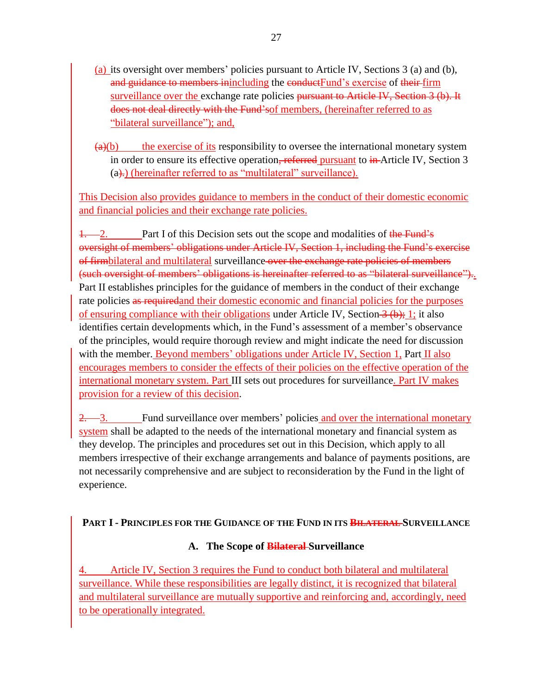- (a) its oversight over members' policies pursuant to Article IV, Sections 3 (a) and (b), and guidance to members inincluding the conductFund's exercise of their firm surveillance over the exchange rate policies pursuant to Article IV, Section 3 (b). It does not deal directly with the Fund's of members, (hereinafter referred to as "bilateral surveillance"); and,
- $(a)(b)$  the exercise of its responsibility to oversee the international monetary system in order to ensure its effective operation, referred pursuant to in-Article IV, Section 3  $(a)$ .) (hereinafter referred to as "multilateral" surveillance).

This Decision also provides guidance to members in the conduct of their domestic economic and financial policies and their exchange rate policies.

1. 2. Part I of this Decision sets out the scope and modalities of the Fund's oversight of members' obligations under Article IV, Section 1, including the Fund's exercise of firmbilateral and multilateral surveillance over the exchange rate policies of members (such oversight of members' obligations is hereinafter referred to as "bilateral surveillance").. Part II establishes principles for the guidance of members in the conduct of their exchange rate policies as requiredand their domestic economic and financial policies for the purposes of ensuring compliance with their obligations under Article IV, Section  $\frac{3}{2}$  (b); 1; it also identifies certain developments which, in the Fund's assessment of a member's observance of the principles, would require thorough review and might indicate the need for discussion with the member. Beyond members' obligations under Article IV, Section 1, Part II also encourages members to consider the effects of their policies on the effective operation of the international monetary system. Part III sets out procedures for surveillance. Part IV makes provision for a review of this decision.

2. 3. Fund surveillance over members' policies and over the international monetary system shall be adapted to the needs of the international monetary and financial system as they develop. The principles and procedures set out in this Decision, which apply to all members irrespective of their exchange arrangements and balance of payments positions, are not necessarily comprehensive and are subject to reconsideration by the Fund in the light of experience.

## **PART I - PRINCIPLES FOR THE GUIDANCE OF THE FUND IN ITS BILATERAL SURVEILLANCE**

## **A. The Scope of Bilateral Surveillance**

4. Article IV, Section 3 requires the Fund to conduct both bilateral and multilateral surveillance. While these responsibilities are legally distinct, it is recognized that bilateral and multilateral surveillance are mutually supportive and reinforcing and, accordingly, need to be operationally integrated.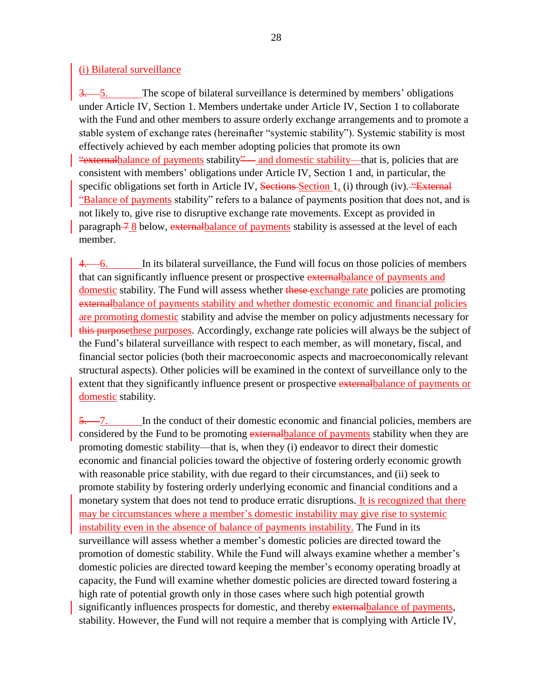#### (i) Bilateral surveillance

3. 5. The scope of bilateral surveillance is determined by members' obligations under Article IV, Section 1. Members undertake under Article IV, Section 1 to collaborate with the Fund and other members to assure orderly exchange arrangements and to promote a stable system of exchange rates (hereinafter "systemic stability"). Systemic stability is most effectively achieved by each member adopting policies that promote its own "external balance of payments stability"—and domestic stability—that is, policies that are consistent with members' obligations under Article IV, Section 1 and, in particular, the specific obligations set forth in Article IV, Sections Section 1, (i) through (iv). "External "Balance of payments stability" refers to a balance of payments position that does not, and is not likely to, give rise to disruptive exchange rate movements. Except as provided in paragraph  $\frac{4}{8}$  below, external balance of payments stability is assessed at the level of each member.

4. 6. In its bilateral surveillance, the Fund will focus on those policies of members that can significantly influence present or prospective external balance of payments and domestic stability. The Fund will assess whether these exchange rate policies are promoting externalbalance of payments stability and whether domestic economic and financial policies are promoting domestic stability and advise the member on policy adjustments necessary for this purposethese purposes. Accordingly, exchange rate policies will always be the subject of the Fund's bilateral surveillance with respect to each member, as will monetary, fiscal, and financial sector policies (both their macroeconomic aspects and macroeconomically relevant structural aspects). Other policies will be examined in the context of surveillance only to the extent that they significantly influence present or prospective external balance of payments or domestic stability.

5. 7. In the conduct of their domestic economic and financial policies, members are considered by the Fund to be promoting external balance of payments stability when they are promoting domestic stability—that is, when they (i) endeavor to direct their domestic economic and financial policies toward the objective of fostering orderly economic growth with reasonable price stability, with due regard to their circumstances, and (ii) seek to promote stability by fostering orderly underlying economic and financial conditions and a monetary system that does not tend to produce erratic disruptions. It is recognized that there may be circumstances where a member's domestic instability may give rise to systemic instability even in the absence of balance of payments instability. The Fund in its surveillance will assess whether a member's domestic policies are directed toward the promotion of domestic stability. While the Fund will always examine whether a member's domestic policies are directed toward keeping the member's economy operating broadly at capacity, the Fund will examine whether domestic policies are directed toward fostering a high rate of potential growth only in those cases where such high potential growth significantly influences prospects for domestic, and thereby externalbalance of payments, stability. However, the Fund will not require a member that is complying with Article IV,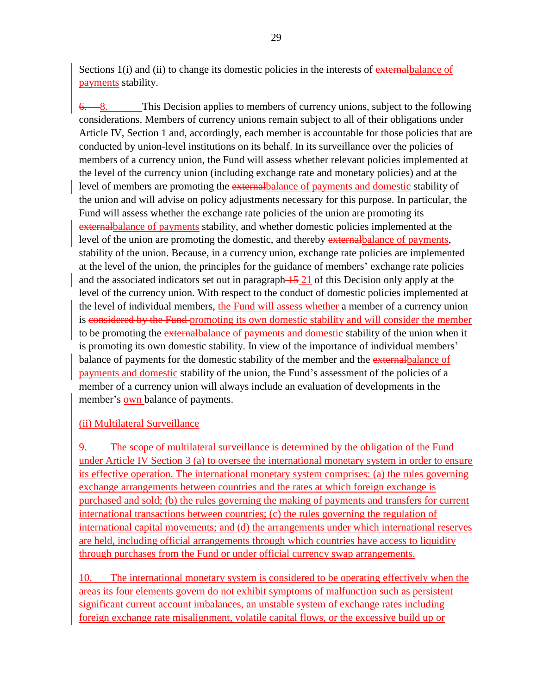Sections 1(i) and (ii) to change its domestic policies in the interests of external balance of payments stability.

6. 8. This Decision applies to members of currency unions, subject to the following considerations. Members of currency unions remain subject to all of their obligations under Article IV, Section 1 and, accordingly, each member is accountable for those policies that are conducted by union-level institutions on its behalf. In its surveillance over the policies of members of a currency union, the Fund will assess whether relevant policies implemented at the level of the currency union (including exchange rate and monetary policies) and at the level of members are promoting the externalbalance of payments and domestic stability of the union and will advise on policy adjustments necessary for this purpose. In particular, the Fund will assess whether the exchange rate policies of the union are promoting its externalbalance of payments stability, and whether domestic policies implemented at the level of the union are promoting the domestic, and thereby externalbalance of payments, stability of the union. Because, in a currency union, exchange rate policies are implemented at the level of the union, the principles for the guidance of members' exchange rate policies and the associated indicators set out in paragraph  $\frac{15}{21}$  of this Decision only apply at the level of the currency union. With respect to the conduct of domestic policies implemented at the level of individual members, the Fund will assess whether a member of a currency union is considered by the Fund promoting its own domestic stability and will consider the member to be promoting the external balance of payments and domestic stability of the union when it is promoting its own domestic stability. In view of the importance of individual members' balance of payments for the domestic stability of the member and the externalbalance of payments and domestic stability of the union, the Fund's assessment of the policies of a member of a currency union will always include an evaluation of developments in the member's **own** balance of payments.

#### (ii) Multilateral Surveillance

9. The scope of multilateral surveillance is determined by the obligation of the Fund under Article IV Section 3 (a) to oversee the international monetary system in order to ensure its effective operation. The international monetary system comprises: (a) the rules governing exchange arrangements between countries and the rates at which foreign exchange is purchased and sold; (b) the rules governing the making of payments and transfers for current international transactions between countries; (c) the rules governing the regulation of international capital movements; and (d) the arrangements under which international reserves are held, including official arrangements through which countries have access to liquidity through purchases from the Fund or under official currency swap arrangements.

10. The international monetary system is considered to be operating effectively when the areas its four elements govern do not exhibit symptoms of malfunction such as persistent significant current account imbalances, an unstable system of exchange rates including foreign exchange rate misalignment, volatile capital flows, or the excessive build up or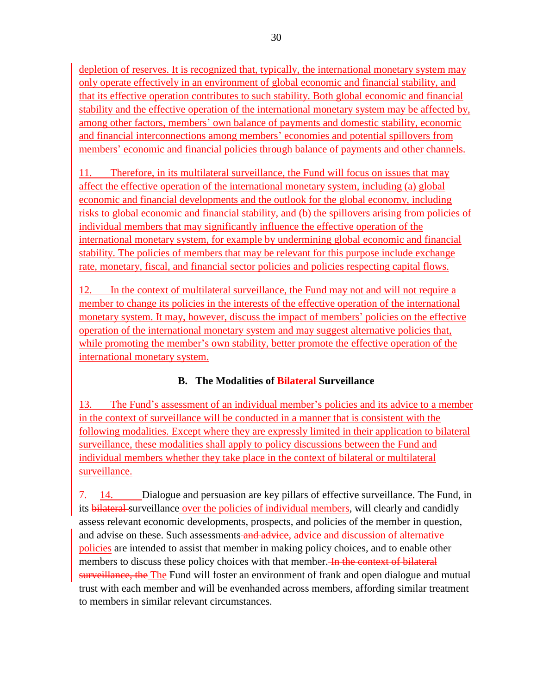depletion of reserves. It is recognized that, typically, the international monetary system may only operate effectively in an environment of global economic and financial stability, and that its effective operation contributes to such stability. Both global economic and financial stability and the effective operation of the international monetary system may be affected by, among other factors, members' own balance of payments and domestic stability, economic and financial interconnections among members' economies and potential spillovers from members' economic and financial policies through balance of payments and other channels.

11. Therefore, in its multilateral surveillance, the Fund will focus on issues that may affect the effective operation of the international monetary system, including (a) global economic and financial developments and the outlook for the global economy, including risks to global economic and financial stability, and (b) the spillovers arising from policies of individual members that may significantly influence the effective operation of the international monetary system, for example by undermining global economic and financial stability. The policies of members that may be relevant for this purpose include exchange rate, monetary, fiscal, and financial sector policies and policies respecting capital flows.

12. In the context of multilateral surveillance, the Fund may not and will not require a member to change its policies in the interests of the effective operation of the international monetary system. It may, however, discuss the impact of members' policies on the effective operation of the international monetary system and may suggest alternative policies that, while promoting the member's own stability, better promote the effective operation of the international monetary system.

# **B. The Modalities of Bilateral Surveillance**

13. The Fund's assessment of an individual member's policies and its advice to a member in the context of surveillance will be conducted in a manner that is consistent with the following modalities. Except where they are expressly limited in their application to bilateral surveillance, these modalities shall apply to policy discussions between the Fund and individual members whether they take place in the context of bilateral or multilateral surveillance.

7. 14. Dialogue and persuasion are key pillars of effective surveillance. The Fund, in its bilateral surveillance over the policies of individual members, will clearly and candidly assess relevant economic developments, prospects, and policies of the member in question, and advise on these. Such assessments and advice, advice and discussion of alternative policies are intended to assist that member in making policy choices, and to enable other members to discuss these policy choices with that member. In the context of bilateral surveillance, the The Fund will foster an environment of frank and open dialogue and mutual trust with each member and will be evenhanded across members, affording similar treatment to members in similar relevant circumstances.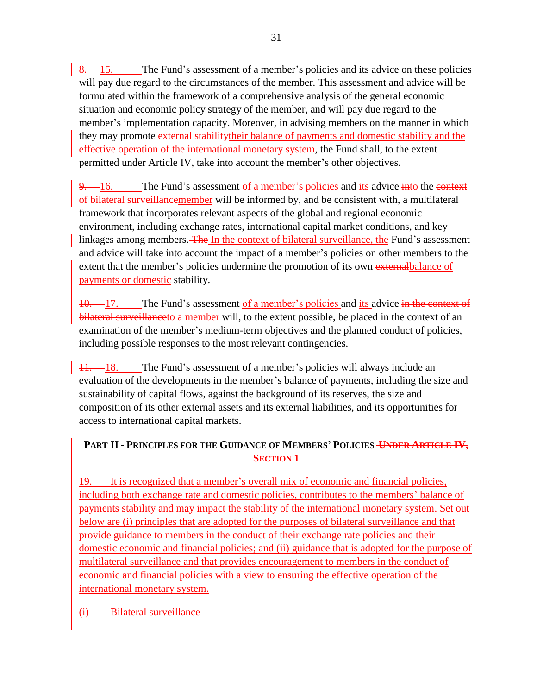8. 15. The Fund's assessment of a member's policies and its advice on these policies will pay due regard to the circumstances of the member. This assessment and advice will be formulated within the framework of a comprehensive analysis of the general economic situation and economic policy strategy of the member, and will pay due regard to the member's implementation capacity. Moreover, in advising members on the manner in which they may promote external stabilitytheir balance of payments and domestic stability and the effective operation of the international monetary system, the Fund shall, to the extent permitted under Article IV, take into account the member's other objectives.

 $9. -16.$  The Fund's assessment of a member's policies and its advice into the context of bilateral surveillancemember will be informed by, and be consistent with, a multilateral framework that incorporates relevant aspects of the global and regional economic environment, including exchange rates, international capital market conditions, and key linkages among members. The In the context of bilateral surveillance, the Fund's assessment and advice will take into account the impact of a member's policies on other members to the extent that the member's policies undermine the promotion of its own externalbalance of payments or domestic stability.

10. 17. The Fund's assessment of a member's policies and its advice in the context of bilateral surveillance to a member will, to the extent possible, be placed in the context of an examination of the member's medium-term objectives and the planned conduct of policies, including possible responses to the most relevant contingencies.

11. 18. The Fund's assessment of a member's policies will always include an evaluation of the developments in the member's balance of payments, including the size and sustainability of capital flows, against the background of its reserves, the size and composition of its other external assets and its external liabilities, and its opportunities for access to international capital markets.

# **PART II - PRINCIPLES FOR THE GUIDANCE OF MEMBERS' POLICIES UNDER ARTICLE IV, SECTION 1**

19. It is recognized that a member's overall mix of economic and financial policies, including both exchange rate and domestic policies, contributes to the members' balance of payments stability and may impact the stability of the international monetary system. Set out below are (i) principles that are adopted for the purposes of bilateral surveillance and that provide guidance to members in the conduct of their exchange rate policies and their domestic economic and financial policies; and (ii) guidance that is adopted for the purpose of multilateral surveillance and that provides encouragement to members in the conduct of economic and financial policies with a view to ensuring the effective operation of the international monetary system.

(i) Bilateral surveillance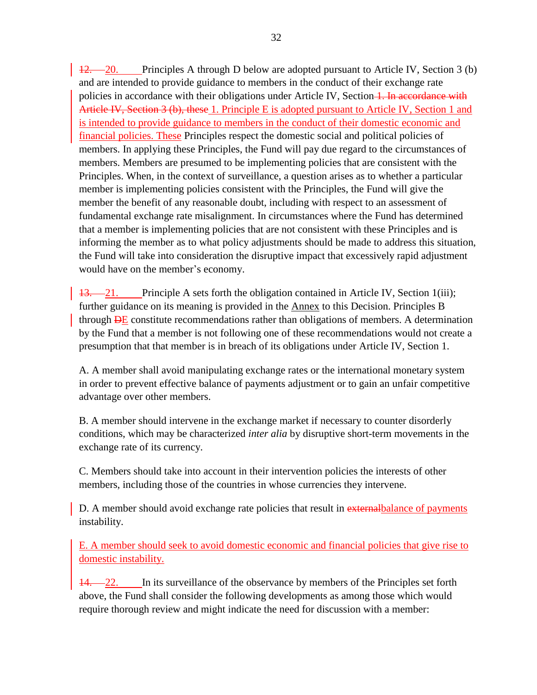12. 20. Principles A through D below are adopted pursuant to Article IV, Section 3 (b) and are intended to provide guidance to members in the conduct of their exchange rate policies in accordance with their obligations under Article IV, Section 1. In accordance with Article IV, Section 3 (b), these 1. Principle E is adopted pursuant to Article IV, Section 1 and is intended to provide guidance to members in the conduct of their domestic economic and financial policies. These Principles respect the domestic social and political policies of members. In applying these Principles, the Fund will pay due regard to the circumstances of members. Members are presumed to be implementing policies that are consistent with the Principles. When, in the context of surveillance, a question arises as to whether a particular member is implementing policies consistent with the Principles, the Fund will give the member the benefit of any reasonable doubt, including with respect to an assessment of fundamental exchange rate misalignment. In circumstances where the Fund has determined that a member is implementing policies that are not consistent with these Principles and is informing the member as to what policy adjustments should be made to address this situation, the Fund will take into consideration the disruptive impact that excessively rapid adjustment would have on the member's economy.

13. 21. Principle A sets forth the obligation contained in Article IV, Section 1(iii); further guidance on its meaning is provided in the [Annex](http://www.imf.org/external/np/sec/pn/2007/pn0769.htm#annex) to this Decision. Principles B through DE constitute recommendations rather than obligations of members. A determination by the Fund that a member is not following one of these recommendations would not create a presumption that that member is in breach of its obligations under Article IV, Section 1.

A. A member shall avoid manipulating exchange rates or the international monetary system in order to prevent effective balance of payments adjustment or to gain an unfair competitive advantage over other members.

B. A member should intervene in the exchange market if necessary to counter disorderly conditions, which may be characterized *inter alia* by disruptive short-term movements in the exchange rate of its currency.

C. Members should take into account in their intervention policies the interests of other members, including those of the countries in whose currencies they intervene.

D. A member should avoid exchange rate policies that result in external balance of payments instability.

E. A member should seek to avoid domestic economic and financial policies that give rise to domestic instability.

14. 22. In its surveillance of the observance by members of the Principles set forth above, the Fund shall consider the following developments as among those which would require thorough review and might indicate the need for discussion with a member: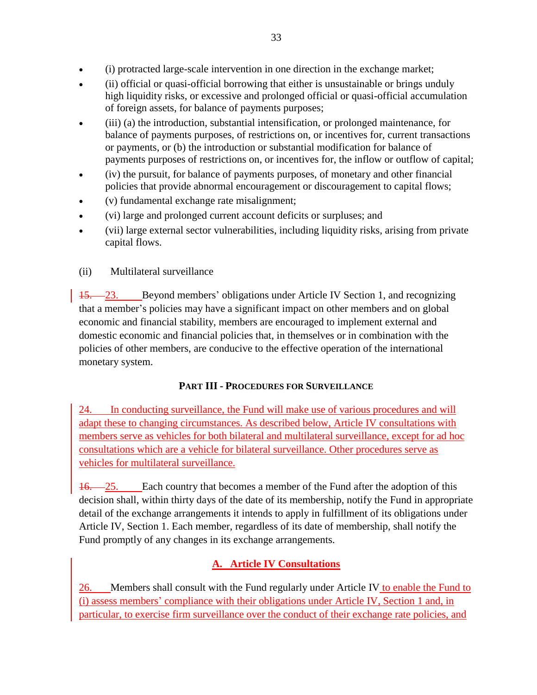- (i) protracted large-scale intervention in one direction in the exchange market;
- (ii) official or quasi-official borrowing that either is unsustainable or brings unduly high liquidity risks, or excessive and prolonged official or quasi-official accumulation of foreign assets, for balance of payments purposes;
- (iii) (a) the introduction, substantial intensification, or prolonged maintenance, for balance of payments purposes, of restrictions on, or incentives for, current transactions or payments, or (b) the introduction or substantial modification for balance of payments purposes of restrictions on, or incentives for, the inflow or outflow of capital;
- (iv) the pursuit, for balance of payments purposes, of monetary and other financial policies that provide abnormal encouragement or discouragement to capital flows;
- (v) fundamental exchange rate misalignment;
- (vi) large and prolonged current account deficits or surpluses; and
- (vii) large external sector vulnerabilities, including liquidity risks, arising from private capital flows.
- (ii) Multilateral surveillance

15. 23. Beyond members' obligations under Article IV Section 1, and recognizing that a member's policies may have a significant impact on other members and on global economic and financial stability, members are encouraged to implement external and domestic economic and financial policies that, in themselves or in combination with the policies of other members, are conducive to the effective operation of the international monetary system.

## **PART III - PROCEDURES FOR SURVEILLANCE**

24. In conducting surveillance, the Fund will make use of various procedures and will adapt these to changing circumstances. As described below, Article IV consultations with members serve as vehicles for both bilateral and multilateral surveillance, except for ad hoc consultations which are a vehicle for bilateral surveillance. Other procedures serve as vehicles for multilateral surveillance.

16. 25. Each country that becomes a member of the Fund after the adoption of this decision shall, within thirty days of the date of its membership, notify the Fund in appropriate detail of the exchange arrangements it intends to apply in fulfillment of its obligations under Article IV, Section 1. Each member, regardless of its date of membership, shall notify the Fund promptly of any changes in its exchange arrangements.

# **A. Article IV Consultations**

26. Members shall consult with the Fund regularly under Article IV to enable the Fund to (i) assess members' compliance with their obligations under Article IV, Section 1 and, in particular, to exercise firm surveillance over the conduct of their exchange rate policies, and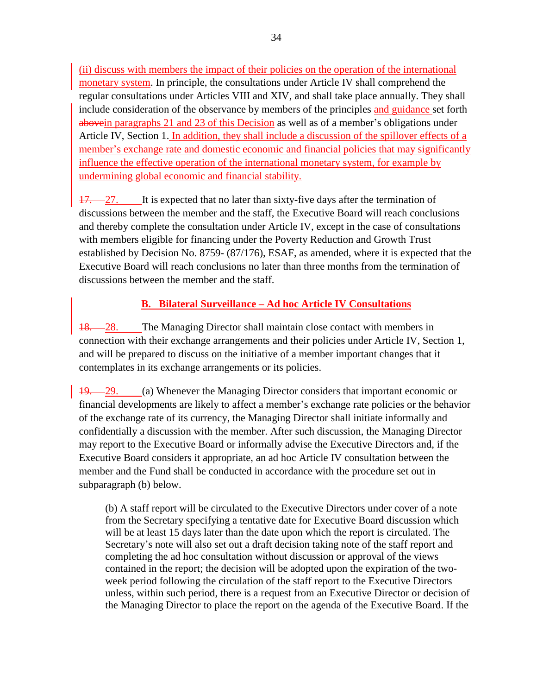(ii) discuss with members the impact of their policies on the operation of the international monetary system. In principle, the consultations under Article IV shall comprehend the regular consultations under Articles VIII and XIV, and shall take place annually. They shall include consideration of the observance by members of the principles and guidance set forth abovein paragraphs 21 and 23 of this Decision as well as of a member's obligations under Article IV, Section 1. In addition, they shall include a discussion of the spillover effects of a member's exchange rate and domestic economic and financial policies that may significantly influence the effective operation of the international monetary system, for example by undermining global economic and financial stability.

17. 27. It is expected that no later than sixty-five days after the termination of discussions between the member and the staff, the Executive Board will reach conclusions and thereby complete the consultation under Article IV, except in the case of consultations with members eligible for financing under the Poverty Reduction and Growth Trust established by Decision No. 8759- (87/176), ESAF, as amended, where it is expected that the Executive Board will reach conclusions no later than three months from the termination of discussions between the member and the staff.

## **B. Bilateral Surveillance – Ad hoc Article IV Consultations**

18. 28. The Managing Director shall maintain close contact with members in connection with their exchange arrangements and their policies under Article IV, Section 1, and will be prepared to discuss on the initiative of a member important changes that it contemplates in its exchange arrangements or its policies.

19. 29. (a) Whenever the Managing Director considers that important economic or financial developments are likely to affect a member's exchange rate policies or the behavior of the exchange rate of its currency, the Managing Director shall initiate informally and confidentially a discussion with the member. After such discussion, the Managing Director may report to the Executive Board or informally advise the Executive Directors and, if the Executive Board considers it appropriate, an ad hoc Article IV consultation between the member and the Fund shall be conducted in accordance with the procedure set out in subparagraph (b) below.

(b) A staff report will be circulated to the Executive Directors under cover of a note from the Secretary specifying a tentative date for Executive Board discussion which will be at least 15 days later than the date upon which the report is circulated. The Secretary's note will also set out a draft decision taking note of the staff report and completing the ad hoc consultation without discussion or approval of the views contained in the report; the decision will be adopted upon the expiration of the twoweek period following the circulation of the staff report to the Executive Directors unless, within such period, there is a request from an Executive Director or decision of the Managing Director to place the report on the agenda of the Executive Board. If the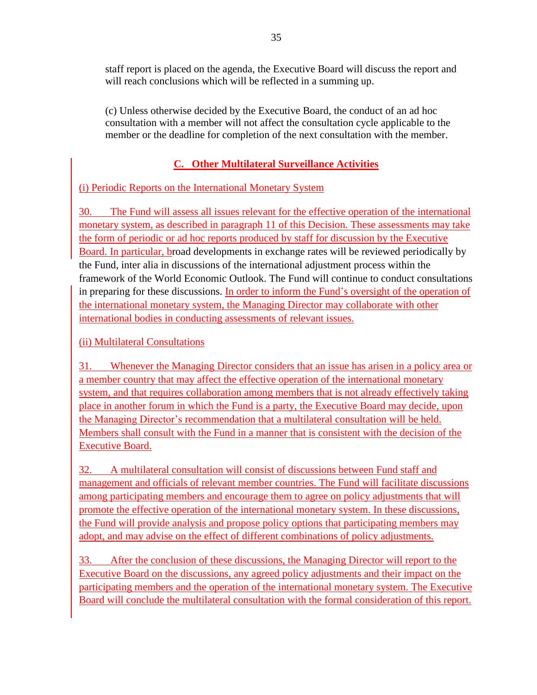staff report is placed on the agenda, the Executive Board will discuss the report and will reach conclusions which will be reflected in a summing up.

(c) Unless otherwise decided by the Executive Board, the conduct of an ad hoc consultation with a member will not affect the consultation cycle applicable to the member or the deadline for completion of the next consultation with the member.

# **C. Other Multilateral Surveillance Activities**

(i) Periodic Reports on the International Monetary System

30. The Fund will assess all issues relevant for the effective operation of the international monetary system, as described in paragraph 11 of this Decision. These assessments may take the form of periodic or ad hoc reports produced by staff for discussion by the Executive Board. In particular, broad developments in exchange rates will be reviewed periodically by the Fund, inter alia in discussions of the international adjustment process within the framework of the World Economic Outlook. The Fund will continue to conduct consultations in preparing for these discussions. In order to inform the Fund's oversight of the operation of the international monetary system, the Managing Director may collaborate with other international bodies in conducting assessments of relevant issues.

(ii) Multilateral Consultations

31. Whenever the Managing Director considers that an issue has arisen in a policy area or a member country that may affect the effective operation of the international monetary system, and that requires collaboration among members that is not already effectively taking place in another forum in which the Fund is a party, the Executive Board may decide, upon the Managing Director's recommendation that a multilateral consultation will be held. Members shall consult with the Fund in a manner that is consistent with the decision of the Executive Board.

32. A multilateral consultation will consist of discussions between Fund staff and management and officials of relevant member countries. The Fund will facilitate discussions among participating members and encourage them to agree on policy adjustments that will promote the effective operation of the international monetary system. In these discussions, the Fund will provide analysis and propose policy options that participating members may adopt, and may advise on the effect of different combinations of policy adjustments.

33. After the conclusion of these discussions, the Managing Director will report to the Executive Board on the discussions, any agreed policy adjustments and their impact on the participating members and the operation of the international monetary system. The Executive Board will conclude the multilateral consultation with the formal consideration of this report.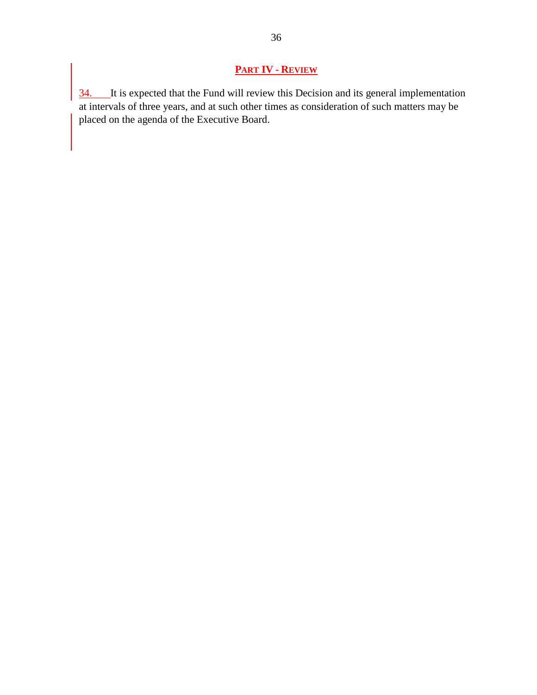# **PART IV - REVIEW**

34. It is expected that the Fund will review this Decision and its general implementation at intervals of three years, and at such other times as consideration of such matters may be placed on the agenda of the Executive Board.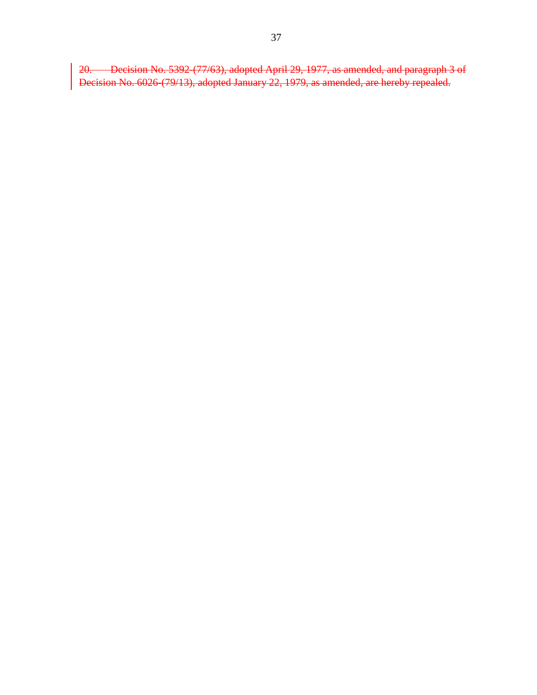20. Decision No. 5392-(77/63), adopted April 29, 1977, as amended, and paragraph 3 of Decision No. 6026 (79/13), adopted January 22, 1979, as amended, are hereby repealed.